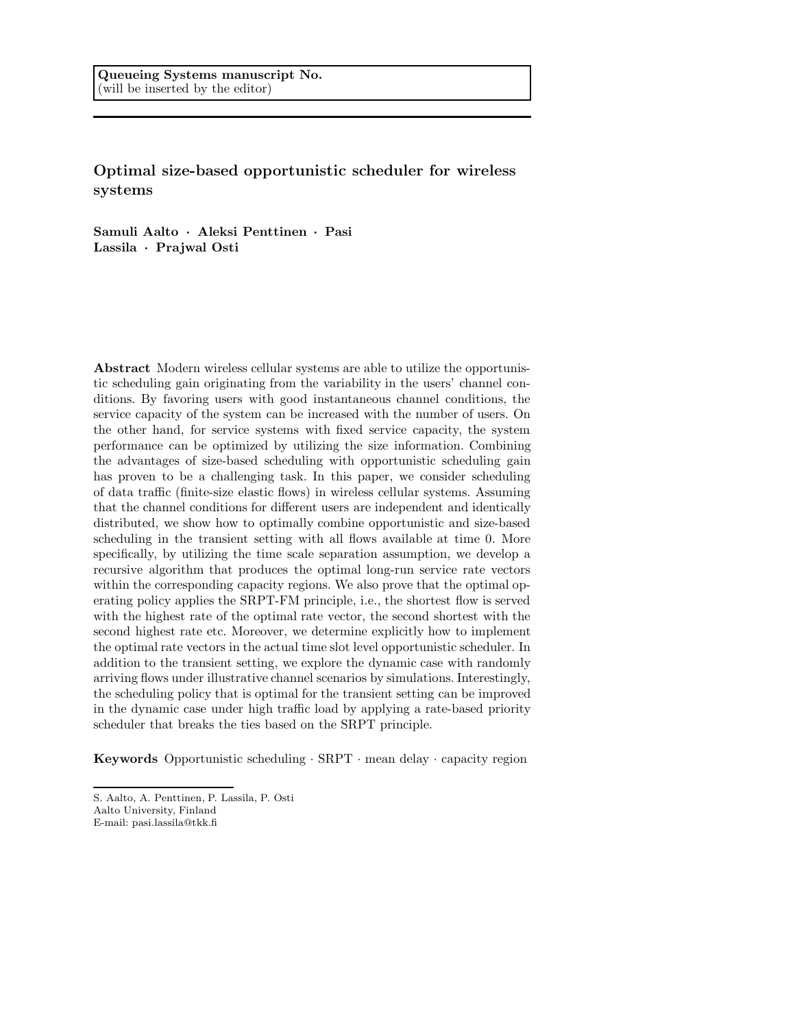Optimal size-based opportunistic scheduler for wireless systems

Samuli Aalto · Aleksi Penttinen · Pasi Lassila · Prajwal Osti

Abstract Modern wireless cellular systems are able to utilize the opportunistic scheduling gain originating from the variability in the users' channel conditions. By favoring users with good instantaneous channel conditions, the service capacity of the system can be increased with the number of users. On the other hand, for service systems with fixed service capacity, the system performance can be optimized by utilizing the size information. Combining the advantages of size-based scheduling with opportunistic scheduling gain has proven to be a challenging task. In this paper, we consider scheduling of data traffic (finite-size elastic flows) in wireless cellular systems. Assuming that the channel conditions for different users are independent and identically distributed, we show how to optimally combine opportunistic and size-based scheduling in the transient setting with all flows available at time 0. More specifically, by utilizing the time scale separation assumption, we develop a recursive algorithm that produces the optimal long-run service rate vectors within the corresponding capacity regions. We also prove that the optimal operating policy applies the SRPT-FM principle, i.e., the shortest flow is served with the highest rate of the optimal rate vector, the second shortest with the second highest rate etc. Moreover, we determine explicitly how to implement the optimal rate vectors in the actual time slot level opportunistic scheduler. In addition to the transient setting, we explore the dynamic case with randomly arriving flows under illustrative channel scenarios by simulations. Interestingly, the scheduling policy that is optimal for the transient setting can be improved in the dynamic case under high traffic load by applying a rate-based priority scheduler that breaks the ties based on the SRPT principle.

Keywords Opportunistic scheduling · SRPT · mean delay · capacity region

S. Aalto, A. Penttinen, P. Lassila, P. Osti Aalto University, Finland

E-mail: pasi.lassila@tkk.fi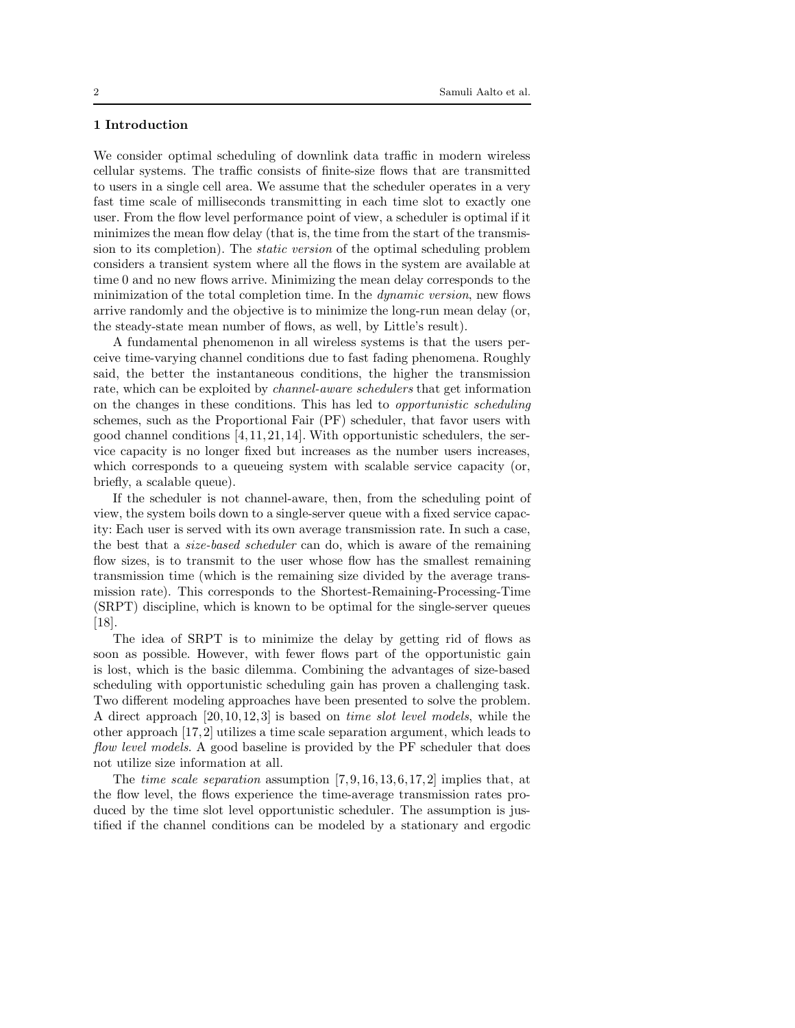#### 1 Introduction

We consider optimal scheduling of downlink data traffic in modern wireless cellular systems. The traffic consists of finite-size flows that are transmitted to users in a single cell area. We assume that the scheduler operates in a very fast time scale of milliseconds transmitting in each time slot to exactly one user. From the flow level performance point of view, a scheduler is optimal if it minimizes the mean flow delay (that is, the time from the start of the transmission to its completion). The static version of the optimal scheduling problem considers a transient system where all the flows in the system are available at time 0 and no new flows arrive. Minimizing the mean delay corresponds to the minimization of the total completion time. In the *dynamic version*, new flows arrive randomly and the objective is to minimize the long-run mean delay (or, the steady-state mean number of flows, as well, by Little's result).

A fundamental phenomenon in all wireless systems is that the users perceive time-varying channel conditions due to fast fading phenomena. Roughly said, the better the instantaneous conditions, the higher the transmission rate, which can be exploited by channel-aware schedulers that get information on the changes in these conditions. This has led to opportunistic scheduling schemes, such as the Proportional Fair (PF) scheduler, that favor users with good channel conditions  $[4, 11, 21, 14]$ . With opportunistic schedulers, the service capacity is no longer fixed but increases as the number users increases, which corresponds to a queueing system with scalable service capacity (or, briefly, a scalable queue).

If the scheduler is not channel-aware, then, from the scheduling point of view, the system boils down to a single-server queue with a fixed service capacity: Each user is served with its own average transmission rate. In such a case, the best that a size-based scheduler can do, which is aware of the remaining flow sizes, is to transmit to the user whose flow has the smallest remaining transmission time (which is the remaining size divided by the average transmission rate). This corresponds to the Shortest-Remaining-Processing-Time (SRPT) discipline, which is known to be optimal for the single-server queues [18].

The idea of SRPT is to minimize the delay by getting rid of flows as soon as possible. However, with fewer flows part of the opportunistic gain is lost, which is the basic dilemma. Combining the advantages of size-based scheduling with opportunistic scheduling gain has proven a challenging task. Two different modeling approaches have been presented to solve the problem. A direct approach [20, 10, 12, 3] is based on time slot level models, while the other approach [17, 2] utilizes a time scale separation argument, which leads to flow level models. A good baseline is provided by the PF scheduler that does not utilize size information at all.

The time scale separation assumption [7, 9, 16, 13, 6,17, 2] implies that, at the flow level, the flows experience the time-average transmission rates produced by the time slot level opportunistic scheduler. The assumption is justified if the channel conditions can be modeled by a stationary and ergodic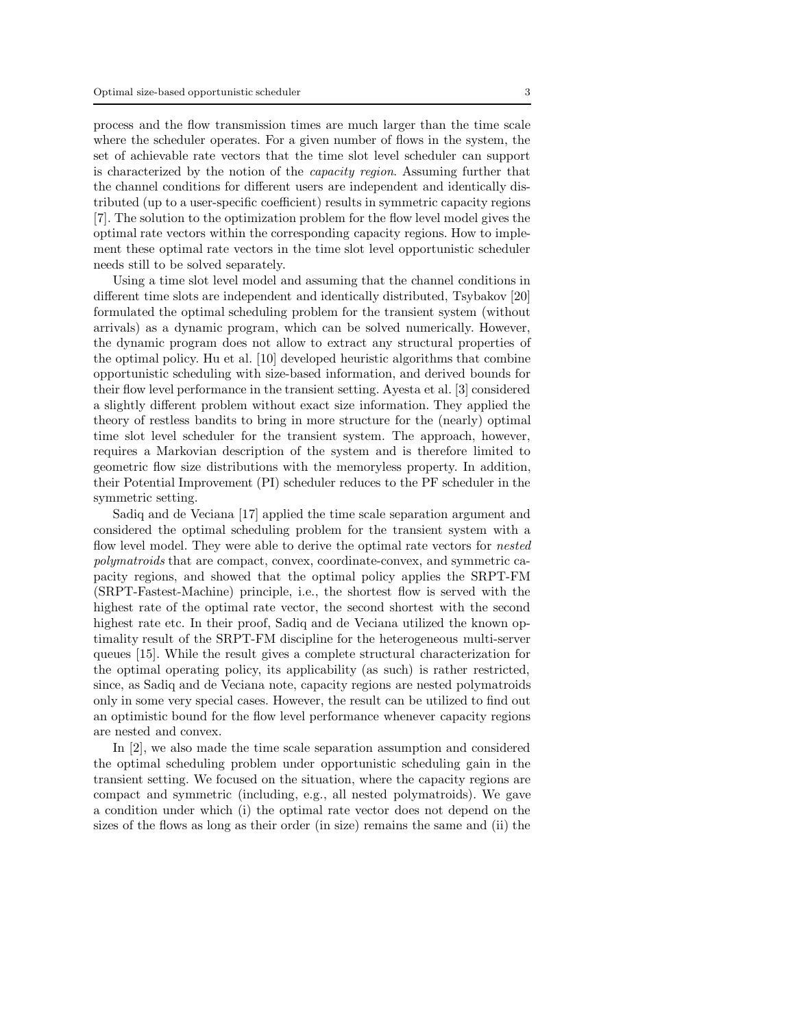process and the flow transmission times are much larger than the time scale where the scheduler operates. For a given number of flows in the system, the set of achievable rate vectors that the time slot level scheduler can support is characterized by the notion of the capacity region. Assuming further that the channel conditions for different users are independent and identically distributed (up to a user-specific coefficient) results in symmetric capacity regions [7]. The solution to the optimization problem for the flow level model gives the optimal rate vectors within the corresponding capacity regions. How to implement these optimal rate vectors in the time slot level opportunistic scheduler needs still to be solved separately.

Using a time slot level model and assuming that the channel conditions in different time slots are independent and identically distributed, Tsybakov [20] formulated the optimal scheduling problem for the transient system (without arrivals) as a dynamic program, which can be solved numerically. However, the dynamic program does not allow to extract any structural properties of the optimal policy. Hu et al. [10] developed heuristic algorithms that combine opportunistic scheduling with size-based information, and derived bounds for their flow level performance in the transient setting. Ayesta et al. [3] considered a slightly different problem without exact size information. They applied the theory of restless bandits to bring in more structure for the (nearly) optimal time slot level scheduler for the transient system. The approach, however, requires a Markovian description of the system and is therefore limited to geometric flow size distributions with the memoryless property. In addition, their Potential Improvement (PI) scheduler reduces to the PF scheduler in the symmetric setting.

Sadiq and de Veciana [17] applied the time scale separation argument and considered the optimal scheduling problem for the transient system with a flow level model. They were able to derive the optimal rate vectors for nested polymatroids that are compact, convex, coordinate-convex, and symmetric capacity regions, and showed that the optimal policy applies the SRPT-FM (SRPT-Fastest-Machine) principle, i.e., the shortest flow is served with the highest rate of the optimal rate vector, the second shortest with the second highest rate etc. In their proof, Sadiq and de Veciana utilized the known optimality result of the SRPT-FM discipline for the heterogeneous multi-server queues [15]. While the result gives a complete structural characterization for the optimal operating policy, its applicability (as such) is rather restricted, since, as Sadiq and de Veciana note, capacity regions are nested polymatroids only in some very special cases. However, the result can be utilized to find out an optimistic bound for the flow level performance whenever capacity regions are nested and convex.

In [2], we also made the time scale separation assumption and considered the optimal scheduling problem under opportunistic scheduling gain in the transient setting. We focused on the situation, where the capacity regions are compact and symmetric (including, e.g., all nested polymatroids). We gave a condition under which (i) the optimal rate vector does not depend on the sizes of the flows as long as their order (in size) remains the same and (ii) the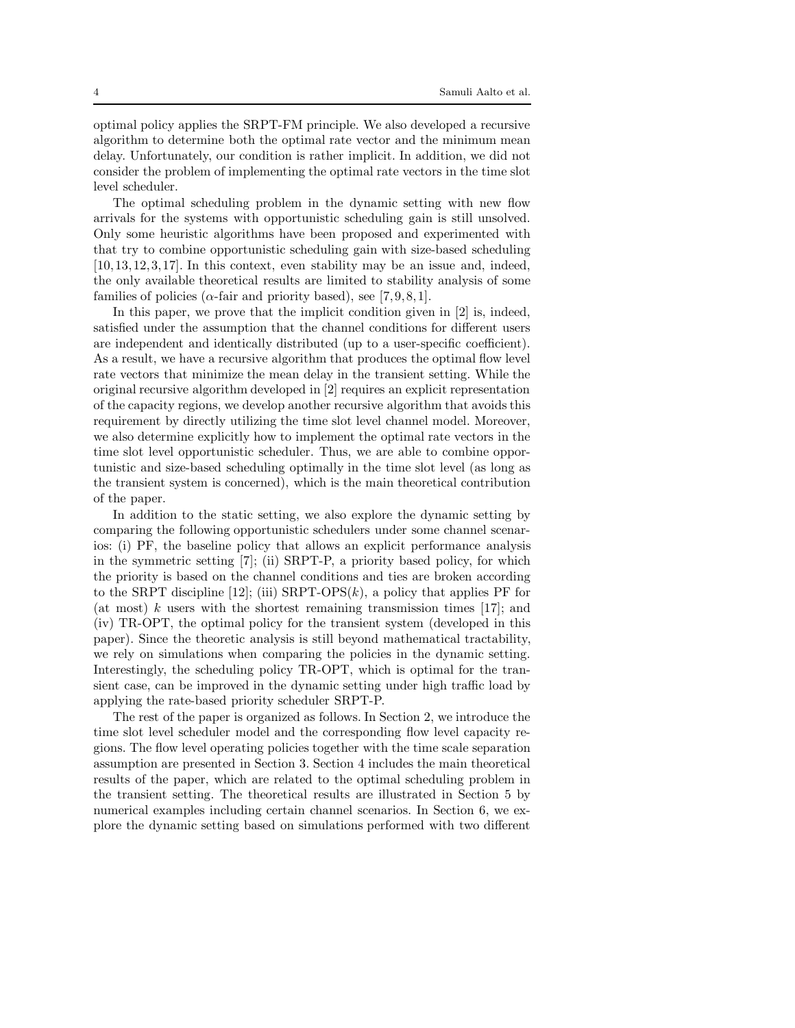optimal policy applies the SRPT-FM principle. We also developed a recursive algorithm to determine both the optimal rate vector and the minimum mean delay. Unfortunately, our condition is rather implicit. In addition, we did not consider the problem of implementing the optimal rate vectors in the time slot level scheduler.

The optimal scheduling problem in the dynamic setting with new flow arrivals for the systems with opportunistic scheduling gain is still unsolved. Only some heuristic algorithms have been proposed and experimented with that try to combine opportunistic scheduling gain with size-based scheduling  $[10, 13, 12, 3, 17]$ . In this context, even stability may be an issue and, indeed, the only available theoretical results are limited to stability analysis of some families of policies ( $\alpha$ -fair and priority based), see [7,9,8,1].

In this paper, we prove that the implicit condition given in [2] is, indeed, satisfied under the assumption that the channel conditions for different users are independent and identically distributed (up to a user-specific coefficient). As a result, we have a recursive algorithm that produces the optimal flow level rate vectors that minimize the mean delay in the transient setting. While the original recursive algorithm developed in [2] requires an explicit representation of the capacity regions, we develop another recursive algorithm that avoids this requirement by directly utilizing the time slot level channel model. Moreover, we also determine explicitly how to implement the optimal rate vectors in the time slot level opportunistic scheduler. Thus, we are able to combine opportunistic and size-based scheduling optimally in the time slot level (as long as the transient system is concerned), which is the main theoretical contribution of the paper.

In addition to the static setting, we also explore the dynamic setting by comparing the following opportunistic schedulers under some channel scenarios: (i) PF, the baseline policy that allows an explicit performance analysis in the symmetric setting [7]; (ii) SRPT-P, a priority based policy, for which the priority is based on the channel conditions and ties are broken according to the SRPT discipline [12]; (iii) SRPT-OPS $(k)$ , a policy that applies PF for (at most) k users with the shortest remaining transmission times  $[17]$ ; and (iv) TR-OPT, the optimal policy for the transient system (developed in this paper). Since the theoretic analysis is still beyond mathematical tractability, we rely on simulations when comparing the policies in the dynamic setting. Interestingly, the scheduling policy TR-OPT, which is optimal for the transient case, can be improved in the dynamic setting under high traffic load by applying the rate-based priority scheduler SRPT-P.

The rest of the paper is organized as follows. In Section 2, we introduce the time slot level scheduler model and the corresponding flow level capacity regions. The flow level operating policies together with the time scale separation assumption are presented in Section 3. Section 4 includes the main theoretical results of the paper, which are related to the optimal scheduling problem in the transient setting. The theoretical results are illustrated in Section 5 by numerical examples including certain channel scenarios. In Section 6, we explore the dynamic setting based on simulations performed with two different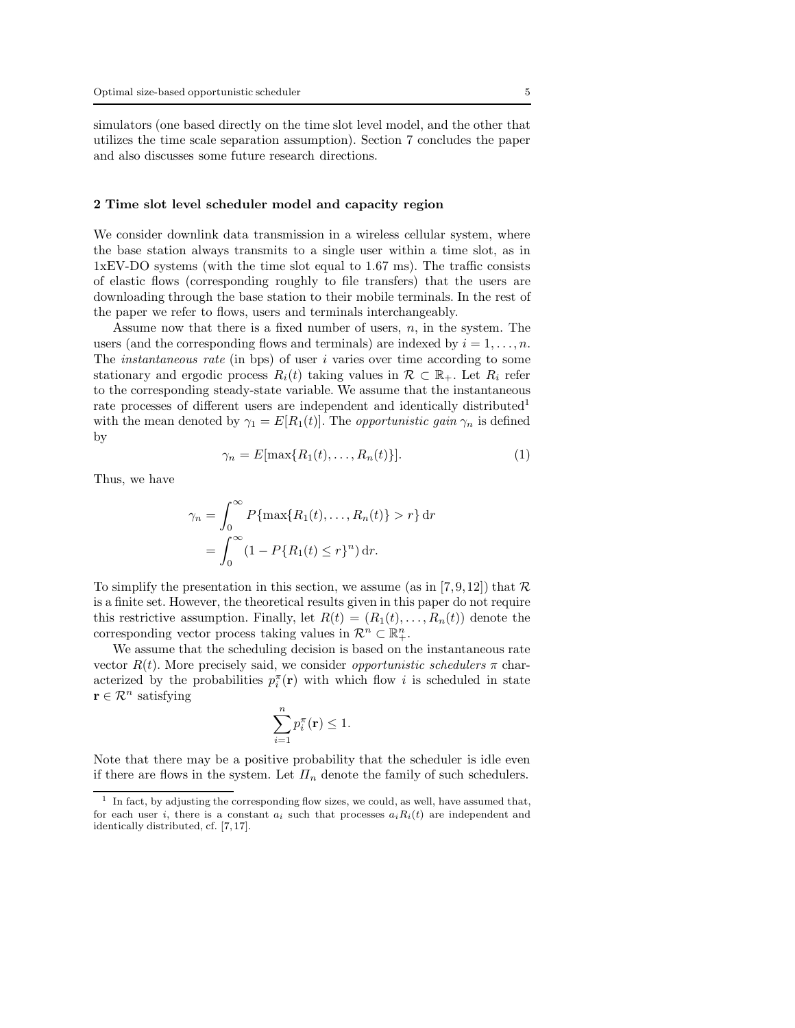simulators (one based directly on the time slot level model, and the other that utilizes the time scale separation assumption). Section 7 concludes the paper and also discusses some future research directions.

### 2 Time slot level scheduler model and capacity region

We consider downlink data transmission in a wireless cellular system, where the base station always transmits to a single user within a time slot, as in 1xEV-DO systems (with the time slot equal to 1.67 ms). The traffic consists of elastic flows (corresponding roughly to file transfers) that the users are downloading through the base station to their mobile terminals. In the rest of the paper we refer to flows, users and terminals interchangeably.

Assume now that there is a fixed number of users,  $n$ , in the system. The users (and the corresponding flows and terminals) are indexed by  $i = 1, \ldots, n$ . The *instantaneous rate* (in bps) of user i varies over time according to some stationary and ergodic process  $R_i(t)$  taking values in  $\mathcal{R} \subset \mathbb{R}_+$ . Let  $R_i$  refer to the corresponding steady-state variable. We assume that the instantaneous rate processes of different users are independent and identically distributed<sup>1</sup> with the mean denoted by  $\gamma_1 = E[R_1(t)]$ . The *opportunistic gain*  $\gamma_n$  is defined by

$$
\gamma_n = E[\max\{R_1(t), \dots, R_n(t)\}].\tag{1}
$$

Thus, we have

$$
\gamma_n = \int_0^\infty P\{\max\{R_1(t), \dots, R_n(t)\} > r\} dr
$$

$$
= \int_0^\infty (1 - P\{R_1(t) \le r\}^n) dr.
$$

To simplify the presentation in this section, we assume (as in [7,9,12]) that  $\mathcal R$ is a finite set. However, the theoretical results given in this paper do not require this restrictive assumption. Finally, let  $R(t) = (R_1(t), \ldots, R_n(t))$  denote the corresponding vector process taking values in  $\mathcal{R}^n \subset \mathbb{R}^n_+$ .

We assume that the scheduling decision is based on the instantaneous rate vector  $R(t)$ . More precisely said, we consider *opportunistic schedulers*  $\pi$  characterized by the probabilities  $p_i^{\pi}(\mathbf{r})$  with which flow i is scheduled in state  $\mathbf{r} \in \mathcal{R}^n$  satisfying

$$
\sum_{i=1}^n p_i^{\pi}(\mathbf{r}) \le 1.
$$

Note that there may be a positive probability that the scheduler is idle even if there are flows in the system. Let  $\Pi_n$  denote the family of such schedulers.

<sup>&</sup>lt;sup>1</sup> In fact, by adjusting the corresponding flow sizes, we could, as well, have assumed that, for each user i, there is a constant  $a_i$  such that processes  $a_i R_i(t)$  are independent and identically distributed, cf. [7, 17].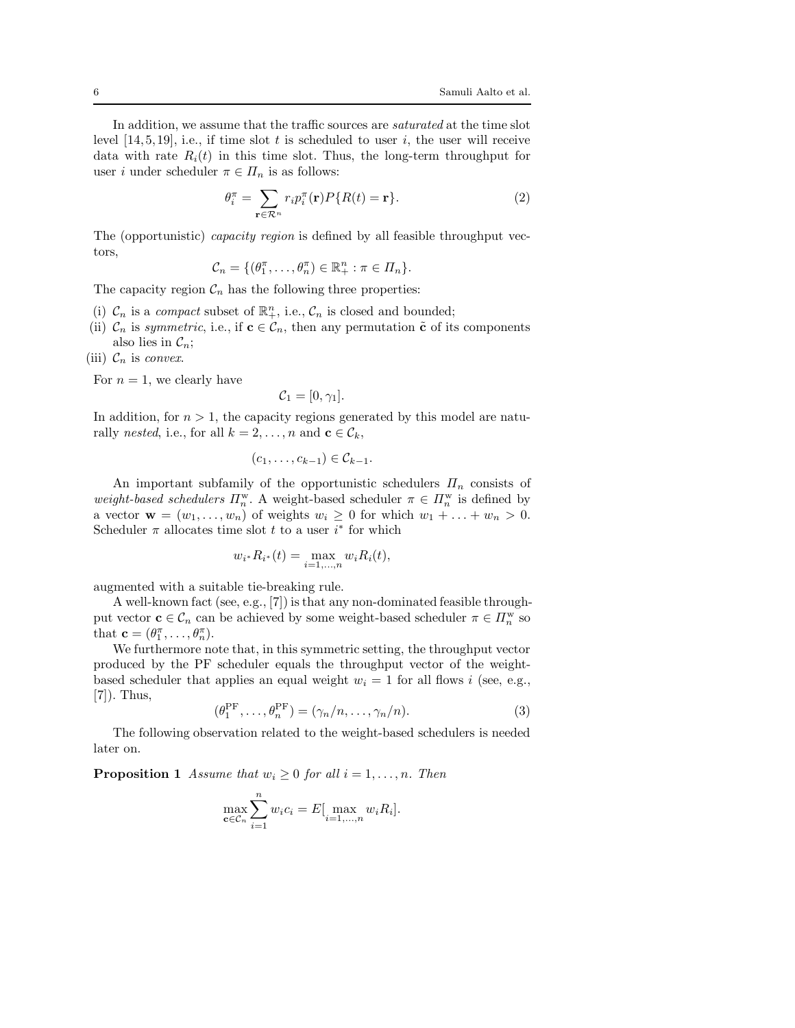In addition, we assume that the traffic sources are saturated at the time slot level  $[14, 5, 19]$ , i.e., if time slot t is scheduled to user i, the user will receive data with rate  $R_i(t)$  in this time slot. Thus, the long-term throughput for user *i* under scheduler  $\pi \in \Pi_n$  is as follows:

$$
\theta_i^{\pi} = \sum_{\mathbf{r} \in \mathcal{R}^n} r_i p_i^{\pi}(\mathbf{r}) P\{R(t) = \mathbf{r}\}.
$$
 (2)

The (opportunistic) capacity region is defined by all feasible throughput vectors,

$$
\mathcal{C}_n = \{(\theta_1^{\pi}, \dots, \theta_n^{\pi}) \in \mathbb{R}_+^n : \pi \in \Pi_n\}.
$$

The capacity region  $C_n$  has the following three properties:

- (i)  $C_n$  is a *compact* subset of  $\mathbb{R}^n_+$ , i.e.,  $C_n$  is closed and bounded;
- (ii)  $\mathcal{C}_n$  is symmetric, i.e., if  $\mathbf{c} \in \mathcal{C}_n$ , then any permutation  $\tilde{\mathbf{c}}$  of its components also lies in  $\mathcal{C}_n$ ;
- (iii)  $\mathcal{C}_n$  is convex.

For  $n = 1$ , we clearly have

$$
\mathcal{C}_1=[0,\gamma_1].
$$

In addition, for  $n > 1$ , the capacity regions generated by this model are naturally *nested*, i.e., for all  $k = 2, ..., n$  and  $\mathbf{c} \in \mathcal{C}_k$ ,

$$
(c_1,\ldots,c_{k-1})\in \mathcal{C}_{k-1}.
$$

An important subfamily of the opportunistic schedulers  $\Pi_n$  consists of weight-based schedulers  $\Pi_n^{\mathbf{w}}$ . A weight-based scheduler  $\pi \in \Pi_n^{\mathbf{w}}$  is defined by a vector  $\mathbf{w} = (w_1, \ldots, w_n)$  of weights  $w_i \geq 0$  for which  $w_1 + \ldots + w_n > 0$ . Scheduler  $\pi$  allocates time slot t to a user  $i^*$  for which

$$
w_{i^*} R_{i^*}(t) = \max_{i=1,...,n} w_i R_i(t),
$$

augmented with a suitable tie-breaking rule.

A well-known fact (see, e.g., [7]) is that any non-dominated feasible throughput vector  $\mathbf{c} \in \mathcal{C}_n$  can be achieved by some weight-based scheduler  $\pi \in \Pi_n^{\mathbf{w}}$  so that  $\mathbf{c} = (\theta_1^{\pi}, \dots, \theta_n^{\pi}).$ 

We furthermore note that, in this symmetric setting, the throughput vector produced by the PF scheduler equals the throughput vector of the weightbased scheduler that applies an equal weight  $w_i = 1$  for all flows i (see, e.g., [7]). Thus,

$$
(\theta_1^{\text{PF}}, \dots, \theta_n^{\text{PF}}) = (\gamma_n/n, \dots, \gamma_n/n). \tag{3}
$$

The following observation related to the weight-based schedulers is needed later on.

**Proposition 1** Assume that  $w_i \geq 0$  for all  $i = 1, \ldots, n$ . Then

$$
\max_{\mathbf{c}\in\mathcal{C}_n}\sum_{i=1}^n w_ic_i = E[\max_{i=1,\dots,n}w_iR_i].
$$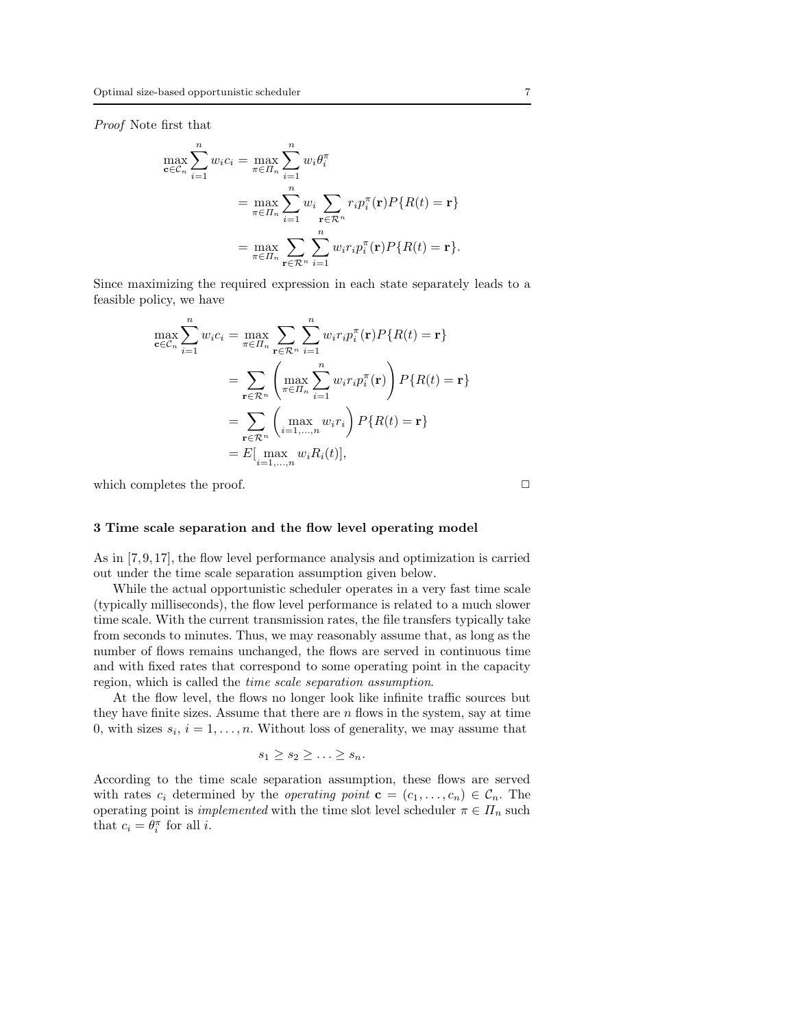Proof Note first that

$$
\max_{\mathbf{c}\in\mathcal{C}_n}\sum_{i=1}^n w_i c_i = \max_{\pi\in\mathcal{H}_n}\sum_{i=1}^n w_i \theta_i^{\pi}
$$
  
= 
$$
\max_{\pi\in\mathcal{H}_n}\sum_{i=1}^n w_i \sum_{\mathbf{r}\in\mathcal{R}^n} r_i p_i^{\pi}(\mathbf{r}) P\{R(t) = \mathbf{r}\}
$$
  
= 
$$
\max_{\pi\in\mathcal{H}_n}\sum_{\mathbf{r}\in\mathcal{R}^n}\sum_{i=1}^n w_i r_i p_i^{\pi}(\mathbf{r}) P\{R(t) = \mathbf{r}\}.
$$

Since maximizing the required expression in each state separately leads to a feasible policy, we have

$$
\max_{\mathbf{c}\in\mathcal{C}_n} \sum_{i=1}^n w_i c_i = \max_{\pi\in\mathcal{H}_n} \sum_{\mathbf{r}\in\mathcal{R}^n} \sum_{i=1}^n w_i r_i p_i^{\pi}(\mathbf{r}) P\{R(t) = \mathbf{r}\}
$$

$$
= \sum_{\mathbf{r}\in\mathcal{R}^n} \left(\max_{\pi\in\mathcal{H}_n} \sum_{i=1}^n w_i r_i p_i^{\pi}(\mathbf{r})\right) P\{R(t) = \mathbf{r}\}
$$

$$
= \sum_{\mathbf{r}\in\mathcal{R}^n} \left(\max_{i=1,\dots,n} w_i r_i\right) P\{R(t) = \mathbf{r}\}
$$

$$
= E\left[\max_{i=1,\dots,n} w_i R_i(t)\right],
$$

which completes the proof.  $\Box$ 

$$
\Box
$$

### 3 Time scale separation and the flow level operating model

As in [7, 9, 17], the flow level performance analysis and optimization is carried out under the time scale separation assumption given below.

While the actual opportunistic scheduler operates in a very fast time scale (typically milliseconds), the flow level performance is related to a much slower time scale. With the current transmission rates, the file transfers typically take from seconds to minutes. Thus, we may reasonably assume that, as long as the number of flows remains unchanged, the flows are served in continuous time and with fixed rates that correspond to some operating point in the capacity region, which is called the time scale separation assumption.

At the flow level, the flows no longer look like infinite traffic sources but they have finite sizes. Assume that there are  $n$  flows in the system, say at time 0, with sizes  $s_i$ ,  $i = 1, \ldots, n$ . Without loss of generality, we may assume that

$$
s_1 \geq s_2 \geq \ldots \geq s_n.
$$

According to the time scale separation assumption, these flows are served with rates  $c_i$  determined by the *operating point*  $\mathbf{c} = (c_1, \ldots, c_n) \in \mathcal{C}_n$ . The operating point is *implemented* with the time slot level scheduler  $\pi \in \Pi_n$  such that  $c_i = \theta_i^{\pi}$  for all *i*.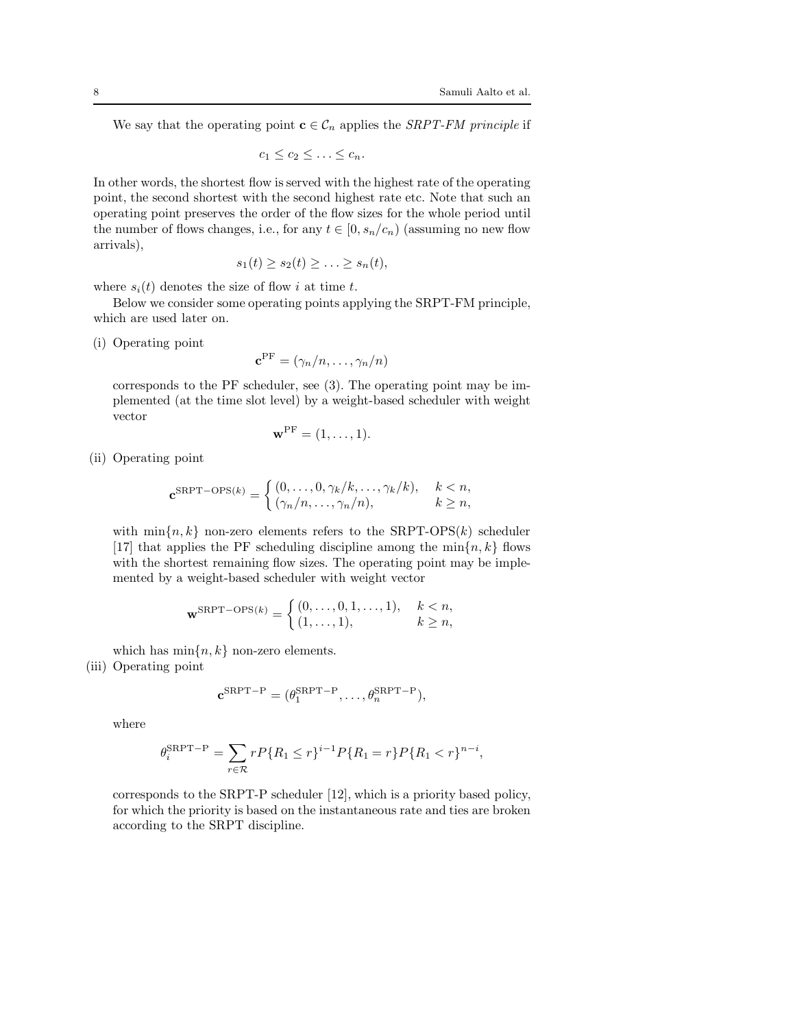We say that the operating point  $\mathbf{c} \in \mathcal{C}_n$  applies the *SRPT-FM principle* if

$$
c_1 \leq c_2 \leq \ldots \leq c_n.
$$

In other words, the shortest flow is served with the highest rate of the operating point, the second shortest with the second highest rate etc. Note that such an operating point preserves the order of the flow sizes for the whole period until the number of flows changes, i.e., for any  $t \in [0, s_n/c_n)$  (assuming no new flow arrivals),

$$
s_1(t) \geq s_2(t) \geq \ldots \geq s_n(t),
$$

where  $s_i(t)$  denotes the size of flow i at time t.

Below we consider some operating points applying the SRPT-FM principle, which are used later on.

(i) Operating point

$$
\mathbf{c}^{\mathrm{PF}} = (\gamma_n/n, \ldots, \gamma_n/n)
$$

corresponds to the PF scheduler, see (3). The operating point may be implemented (at the time slot level) by a weight-based scheduler with weight vector

$$
\mathbf{w}^{\mathrm{PF}} = (1, \ldots, 1).
$$

(ii) Operating point

$$
\mathbf{c}^{\text{SRPT-OPS}(k)} = \begin{cases} (0, \ldots, 0, \gamma_k/k, \ldots, \gamma_k/k), & k < n, \\ (\gamma_n/n, \ldots, \gamma_n/n), & k \ge n, \end{cases}
$$

with  $\min\{n, k\}$  non-zero elements refers to the SRPT-OPS(k) scheduler [17] that applies the PF scheduling discipline among the  $\min\{n, k\}$  flows with the shortest remaining flow sizes. The operating point may be implemented by a weight-based scheduler with weight vector

$$
\mathbf{w}^{\text{SRPT-OPS}(k)} = \begin{cases} (0, \dots, 0, 1, \dots, 1), & k < n, \\ (1, \dots, 1), & k \ge n, \end{cases}
$$

which has  $\min\{n, k\}$  non-zero elements.

(iii) Operating point

$$
\mathbf{c}^{\text{SRPT}-\text{P}} = (\theta_1^{\text{SRPT}-\text{P}}, \dots, \theta_n^{\text{SRPT}-\text{P}}),
$$

where

$$
\theta_i^{\text{SRPT-P}} = \sum_{r \in \mathcal{R}} r P \{ R_1 \le r \}^{i-1} P \{ R_1 = r \} P \{ R_1 < r \}^{n-i},
$$

corresponds to the SRPT-P scheduler [12], which is a priority based policy, for which the priority is based on the instantaneous rate and ties are broken according to the SRPT discipline.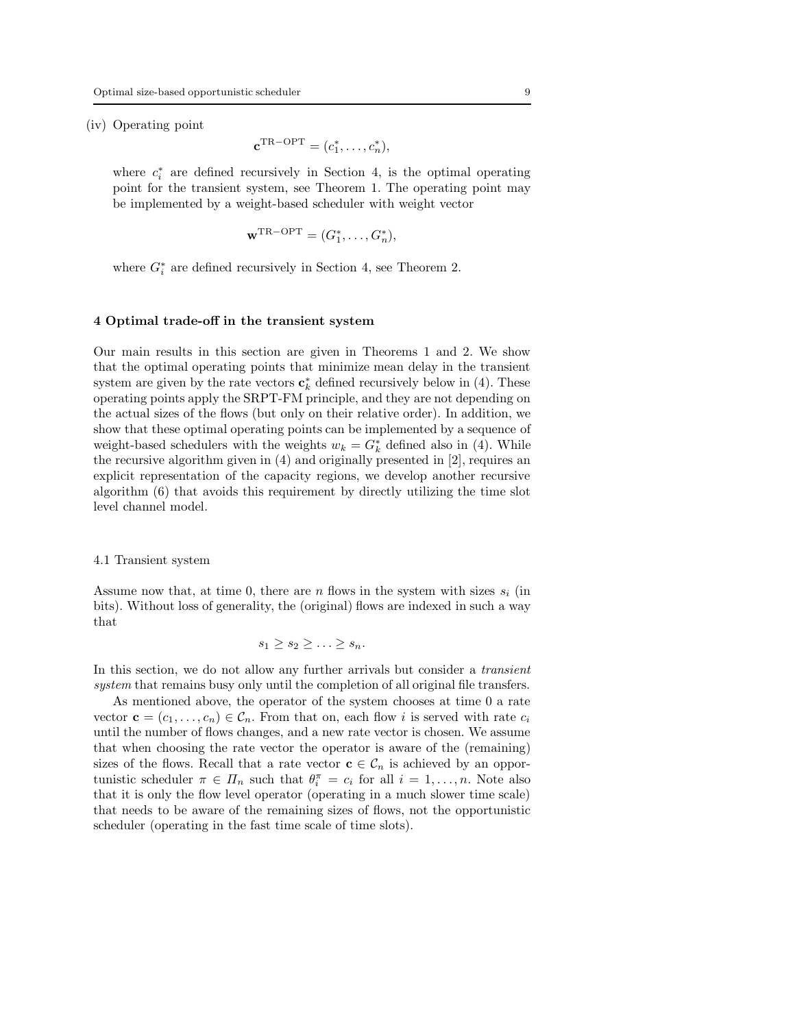(iv) Operating point

$$
\mathbf{c}^{\mathrm{TR-OPT}} = (c_1^*, \ldots, c_n^*),
$$

where  $c_i^*$  are defined recursively in Section 4, is the optimal operating point for the transient system, see Theorem 1. The operating point may be implemented by a weight-based scheduler with weight vector

$$
\mathbf{w}^{\mathrm{TR-OPT}} = (G_1^*, \ldots, G_n^*),
$$

where  $G_i^*$  are defined recursively in Section 4, see Theorem 2.

### 4 Optimal trade-off in the transient system

Our main results in this section are given in Theorems 1 and 2. We show that the optimal operating points that minimize mean delay in the transient system are given by the rate vectors  $\mathbf{c}_k^*$  defined recursively below in (4). These operating points apply the SRPT-FM principle, and they are not depending on the actual sizes of the flows (but only on their relative order). In addition, we show that these optimal operating points can be implemented by a sequence of weight-based schedulers with the weights  $w_k = G_k^*$  defined also in (4). While the recursive algorithm given in (4) and originally presented in [2], requires an explicit representation of the capacity regions, we develop another recursive algorithm (6) that avoids this requirement by directly utilizing the time slot level channel model.

#### 4.1 Transient system

Assume now that, at time 0, there are n flows in the system with sizes  $s_i$  (in bits). Without loss of generality, the (original) flows are indexed in such a way that

$$
s_1 \ge s_2 \ge \ldots \ge s_n.
$$

In this section, we do not allow any further arrivals but consider a transient system that remains busy only until the completion of all original file transfers.

As mentioned above, the operator of the system chooses at time 0 a rate vector  $\mathbf{c} = (c_1, \ldots, c_n) \in \mathcal{C}_n$ . From that on, each flow i is served with rate  $c_i$ until the number of flows changes, and a new rate vector is chosen. We assume that when choosing the rate vector the operator is aware of the (remaining) sizes of the flows. Recall that a rate vector  $\mathbf{c} \in \mathcal{C}_n$  is achieved by an opportunistic scheduler  $\pi \in \Pi_n$  such that  $\theta_i^{\pi} = c_i$  for all  $i = 1, ..., n$ . Note also that it is only the flow level operator (operating in a much slower time scale) that needs to be aware of the remaining sizes of flows, not the opportunistic scheduler (operating in the fast time scale of time slots).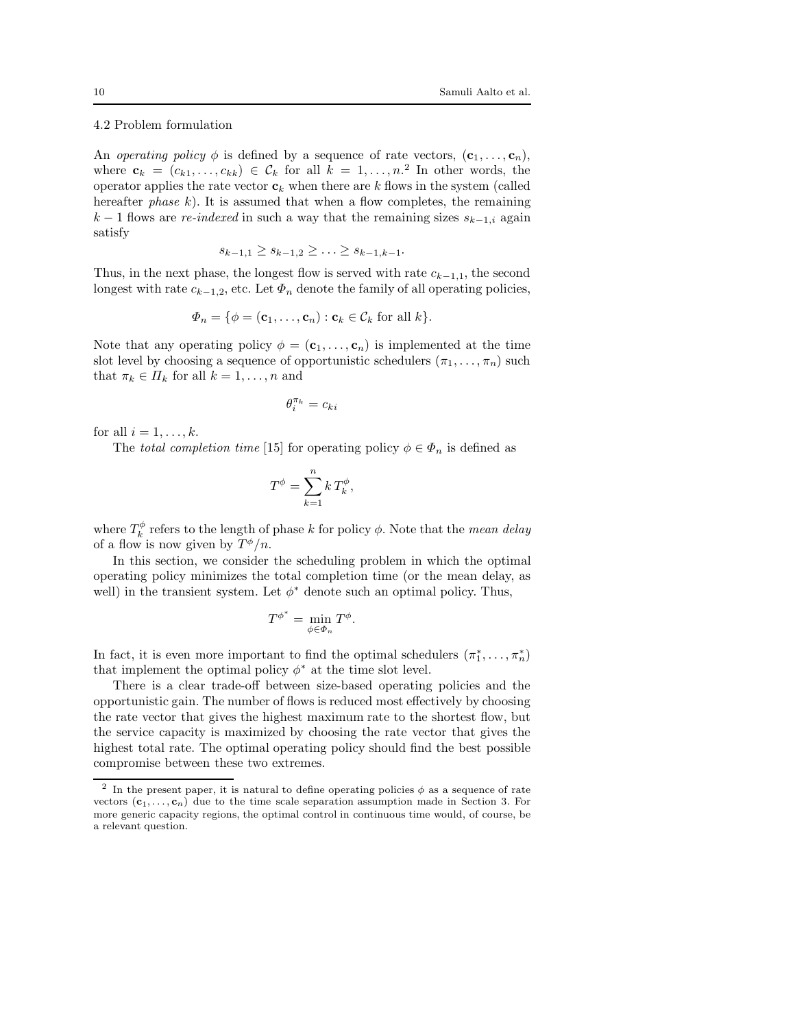### 4.2 Problem formulation

An operating policy  $\phi$  is defined by a sequence of rate vectors,  $(c_1, \ldots, c_n)$ , where  $\mathbf{c}_k = (c_{k1}, \ldots, c_{kk}) \in \mathcal{C}_k$  for all  $k = 1, \ldots, n$ <sup>2</sup> In other words, the operator applies the rate vector  $c_k$  when there are k flows in the system (called hereafter phase k). It is assumed that when a flow completes, the remaining  $k-1$  flows are *re-indexed* in such a way that the remaining sizes  $s_{k-1,i}$  again satisfy

$$
s_{k-1,1} \ge s_{k-1,2} \ge \ldots \ge s_{k-1,k-1}.
$$

Thus, in the next phase, the longest flow is served with rate  $c_{k-1,1}$ , the second longest with rate  $c_{k-1,2}$ , etc. Let  $\Phi_n$  denote the family of all operating policies,

$$
\Phi_n = \{ \phi = (\mathbf{c}_1, \dots, \mathbf{c}_n) : \mathbf{c}_k \in \mathcal{C}_k \text{ for all } k \}.
$$

Note that any operating policy  $\phi = (\mathbf{c}_1, \dots, \mathbf{c}_n)$  is implemented at the time slot level by choosing a sequence of opportunistic schedulers  $(\pi_1, \ldots, \pi_n)$  such that  $\pi_k \in \Pi_k$  for all  $k = 1, \ldots, n$  and

$$
\theta_i^{\pi_k} = c_{ki}
$$

for all  $i = 1, \ldots, k$ .

The total completion time [15] for operating policy  $\phi \in \Phi_n$  is defined as

$$
T^{\phi} = \sum_{k=1}^{n} k T_k^{\phi},
$$

where  $T_k^{\phi}$  refers to the length of phase k for policy  $\phi$ . Note that the mean delay of a flow is now given by  $T^{\phi}/n$ .

In this section, we consider the scheduling problem in which the optimal operating policy minimizes the total completion time (or the mean delay, as well) in the transient system. Let  $\phi^*$  denote such an optimal policy. Thus,

$$
T^{\phi^*} = \min_{\phi \in \Phi_n} T^{\phi}.
$$

In fact, it is even more important to find the optimal schedulers  $(\pi_1^*, \ldots, \pi_n^*)$ that implement the optimal policy  $\phi^*$  at the time slot level.

There is a clear trade-off between size-based operating policies and the opportunistic gain. The number of flows is reduced most effectively by choosing the rate vector that gives the highest maximum rate to the shortest flow, but the service capacity is maximized by choosing the rate vector that gives the highest total rate. The optimal operating policy should find the best possible compromise between these two extremes.

<sup>&</sup>lt;sup>2</sup> In the present paper, it is natural to define operating policies  $\phi$  as a sequence of rate vectors  $(c_1, \ldots, c_n)$  due to the time scale separation assumption made in Section 3. For more generic capacity regions, the optimal control in continuous time would, of course, be a relevant question.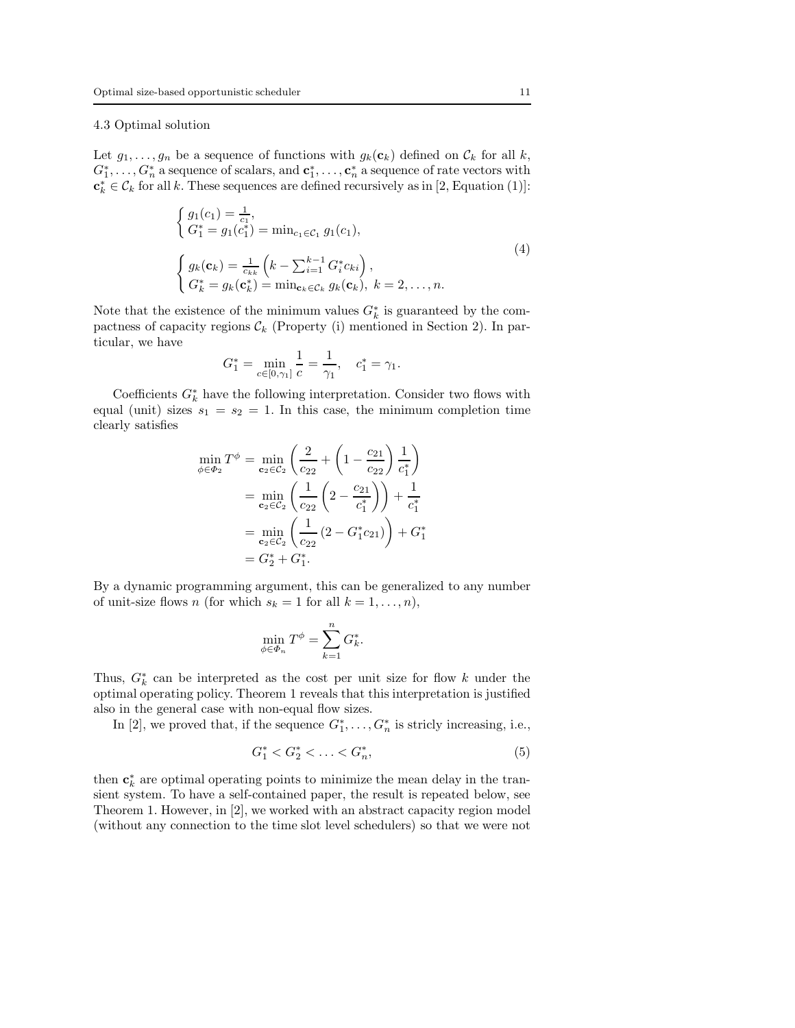### 4.3 Optimal solution

Let  $g_1, \ldots, g_n$  be a sequence of functions with  $g_k(c_k)$  defined on  $\mathcal{C}_k$  for all k,  $G_1^*, \ldots, G_n^*$  a sequence of scalars, and  $\mathbf{c}_1^*, \ldots, \mathbf{c}_n^*$  a sequence of rate vectors with  $\mathbf{c}_k^* \in \mathcal{C}_k$  for all k. These sequences are defined recursively as in [2, Equation (1)]:

$$
\begin{cases}\ng_1(c_1) = \frac{1}{c_1}, \\
G_1^* = g_1(c_1^*) = \min_{c_1 \in C_1} g_1(c_1), \\
g_k(\mathbf{c}_k) = \frac{1}{c_{kk}} \left( k - \sum_{i=1}^{k-1} G_i^* c_{ki} \right), \\
G_k^* = g_k(\mathbf{c}_k^*) = \min_{\mathbf{c}_k \in C_k} g_k(\mathbf{c}_k), \ k = 2, \dots, n.\n\end{cases} \tag{4}
$$

Note that the existence of the minimum values  $G_k^*$  is guaranteed by the compactness of capacity regions  $\mathcal{C}_k$  (Property (i) mentioned in Section 2). In particular, we have

$$
G_1^* = \min_{c \in [0, \gamma_1]} \frac{1}{c} = \frac{1}{\gamma_1}, \quad c_1^* = \gamma_1.
$$

Coefficients  $G_k^*$  have the following interpretation. Consider two flows with equal (unit) sizes  $s_1 = s_2 = 1$ . In this case, the minimum completion time clearly satisfies

$$
\min_{\phi \in \Phi_2} T^{\phi} = \min_{\mathbf{c}_2 \in C_2} \left( \frac{2}{c_{22}} + \left( 1 - \frac{c_{21}}{c_{22}} \right) \frac{1}{c_1^*} \right)
$$
  
\n
$$
= \min_{\mathbf{c}_2 \in C_2} \left( \frac{1}{c_{22}} \left( 2 - \frac{c_{21}}{c_1^*} \right) \right) + \frac{1}{c_1^*}
$$
  
\n
$$
= \min_{\mathbf{c}_2 \in C_2} \left( \frac{1}{c_{22}} \left( 2 - G_1^* c_{21} \right) \right) + G_1^*
$$
  
\n
$$
= G_2^* + G_1^*.
$$

By a dynamic programming argument, this can be generalized to any number of unit-size flows n (for which  $s_k = 1$  for all  $k = 1, \ldots, n$ ),

$$
\min_{\phi\in\varPhi_n}T^\phi=\sum_{k=1}^n G_k^*.
$$

Thus,  $G_k^*$  can be interpreted as the cost per unit size for flow k under the optimal operating policy. Theorem 1 reveals that this interpretation is justified also in the general case with non-equal flow sizes.

In [2], we proved that, if the sequence  $G_1^*, \ldots, G_n^*$  is stricly increasing, i.e.,

$$
G_1^* < G_2^* < \ldots < G_n^*,\tag{5}
$$

then  $c_k^*$  are optimal operating points to minimize the mean delay in the transient system. To have a self-contained paper, the result is repeated below, see Theorem 1. However, in [2], we worked with an abstract capacity region model (without any connection to the time slot level schedulers) so that we were not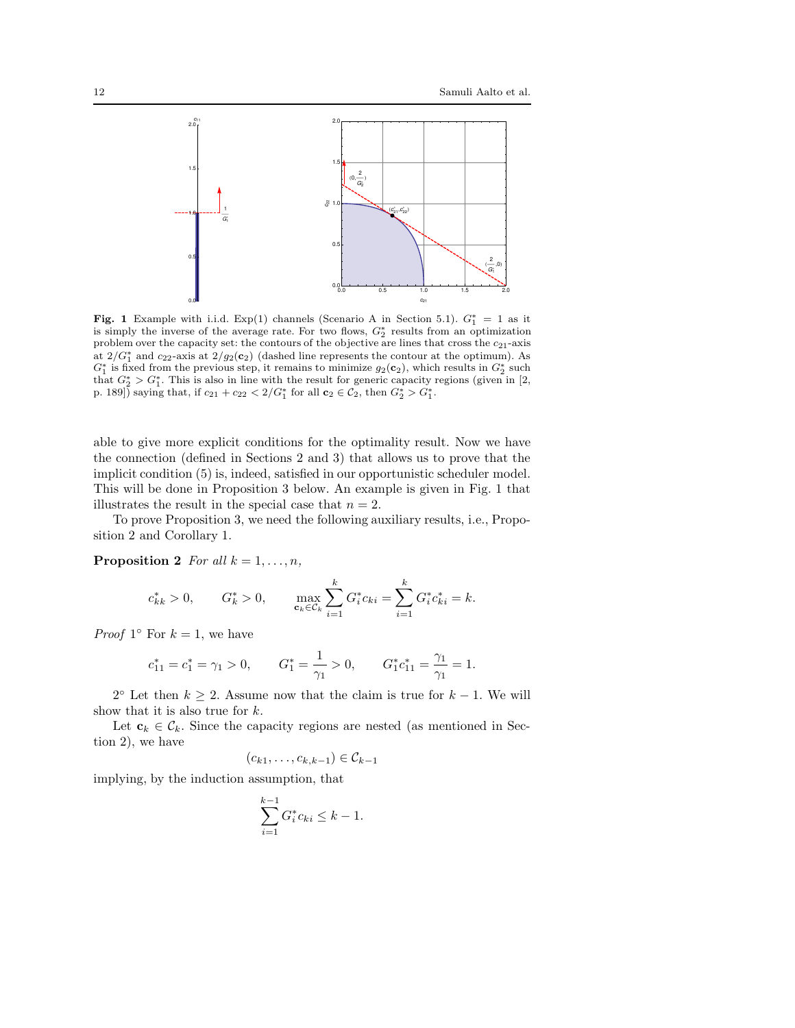

Fig. 1 Example with i.i.d. Exp(1) channels (Scenario A in Section 5.1).  $G_1^* = 1$  as it is simply the inverse of the average rate. For two flows,  $G_2^*$  results from an optimization problem over the capacity set: the contours of the objective are lines that cross the  $c_{21}$ -axis at  $2/G_1^*$  and  $c_{22}$ -axis at  $2/g_2(c_2)$  (dashed line represents the contour at the optimum). As  $G_1^*$  is fixed from the previous step, it remains to minimize  $g_2(c_2)$ , which results in  $G_2^*$  such that  $G_2^* > G_1^*$ . This is also in line with the result for generic capacity regions (given in [2, p. 189]) saying that, if  $c_{21} + c_{22} < 2/G_1^*$  for all  $c_2 \in C_2$ , then  $G_2^* > G_1^*$ .

able to give more explicit conditions for the optimality result. Now we have the connection (defined in Sections 2 and 3) that allows us to prove that the implicit condition (5) is, indeed, satisfied in our opportunistic scheduler model. This will be done in Proposition 3 below. An example is given in Fig. 1 that illustrates the result in the special case that  $n = 2$ .

To prove Proposition 3, we need the following auxiliary results, i.e., Proposition 2 and Corollary 1.

## **Proposition 2** For all  $k = 1, \ldots, n$ ,

$$
c_{kk}^* > 0
$$
,  $G_k^* > 0$ ,  $\max_{\mathbf{c}_k \in C_k} \sum_{i=1}^k G_i^* c_{ki} = \sum_{i=1}^k G_i^* c_{ki}^* = k$ .

*Proof* 1° For  $k = 1$ , we have

$$
c_{11}^* = c_1^* = \gamma_1 > 0, \qquad G_1^* = \frac{1}{\gamma_1} > 0, \qquad G_1^* c_{11}^* = \frac{\gamma_1}{\gamma_1} = 1.
$$

2<sup>°</sup> Let then  $k ≥ 2$ . Assume now that the claim is true for  $k - 1$ . We will show that it is also true for  $k$ .

Let  $c_k \in \mathcal{C}_k$ . Since the capacity regions are nested (as mentioned in Section 2), we have

$$
(c_{k1},\ldots,c_{k,k-1})\in\mathcal{C}_{k-1}
$$

implying, by the induction assumption, that

$$
\sum_{i=1}^{k-1} G_i^* c_{ki} \le k - 1.
$$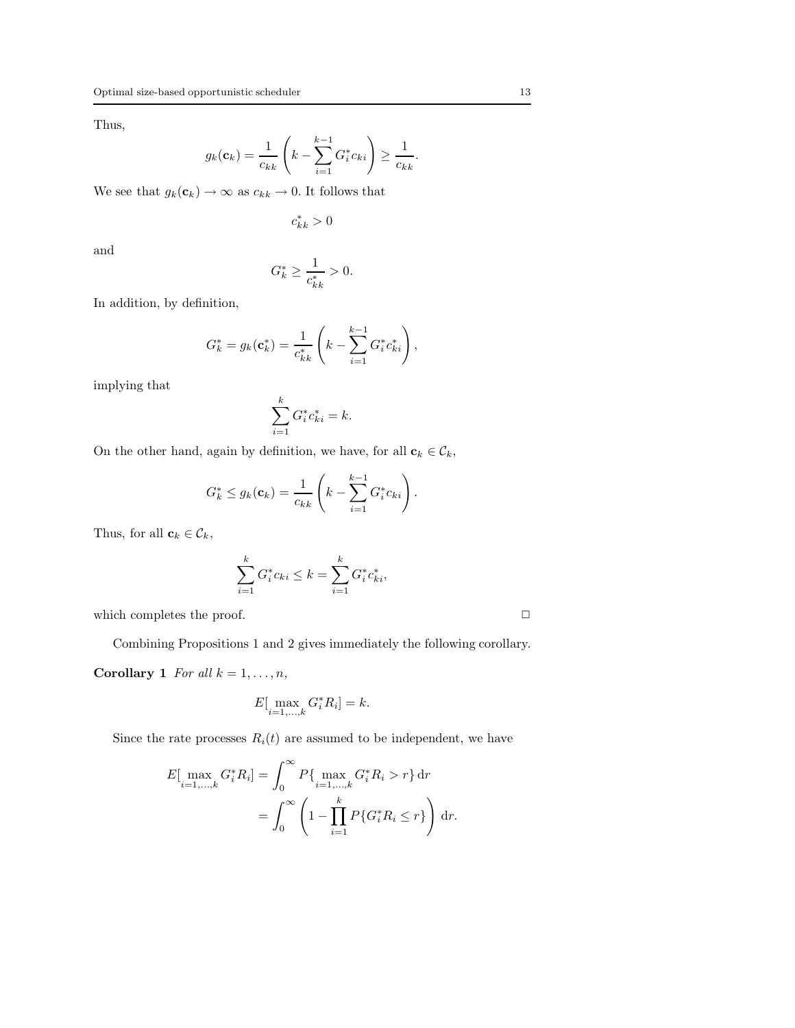Thus,

$$
g_k(\mathbf{c}_k) = \frac{1}{c_{kk}} \left( k - \sum_{i=1}^{k-1} G_i^* c_{ki} \right) \ge \frac{1}{c_{kk}}.
$$

We see that  $g_k(c_k) \to \infty$  as  $c_{kk} \to 0$ . It follows that

$$
c_{kk}^* > 0
$$

and

$$
G_k^* \ge \frac{1}{c_{kk}^*} > 0.
$$

In addition, by definition,

$$
G_k^* = g_k(\mathbf{c}_k^*) = \frac{1}{c_{kk}^*} \left( k - \sum_{i=1}^{k-1} G_i^* c_{ki}^* \right),
$$

implying that

$$
\sum_{i=1}^k G_i^* c_{ki}^* = k.
$$

On the other hand, again by definition, we have, for all  $\mathbf{c}_k \in \mathcal{C}_k,$ 

$$
G_k^* \le g_k(\mathbf{c}_k) = \frac{1}{c_{kk}} \left( k - \sum_{i=1}^{k-1} G_i^* c_{ki} \right).
$$

Thus, for all  $\mathbf{c}_k \in \mathcal{C}_k,$ 

$$
\sum_{i=1}^{k} G_i^* c_{ki} \le k = \sum_{i=1}^{k} G_i^* c_{ki}^*,
$$

which completes the proof.

$$
\Box
$$

Combining Propositions 1 and 2 gives immediately the following corollary.

Corollary 1 For all  $k = 1, \ldots, n$ ,

$$
E\left[\max_{i=1,\dots,k} G_i^* R_i\right] = k.
$$

Since the rate processes  $R_i(t)$  are assumed to be independent, we have

$$
E[\max_{i=1,\dots,k} G_i^* R_i] = \int_0^\infty P\{\max_{i=1,\dots,k} G_i^* R_i > r\} dr
$$
  
= 
$$
\int_0^\infty \left(1 - \prod_{i=1}^k P\{G_i^* R_i \le r\}\right) dr.
$$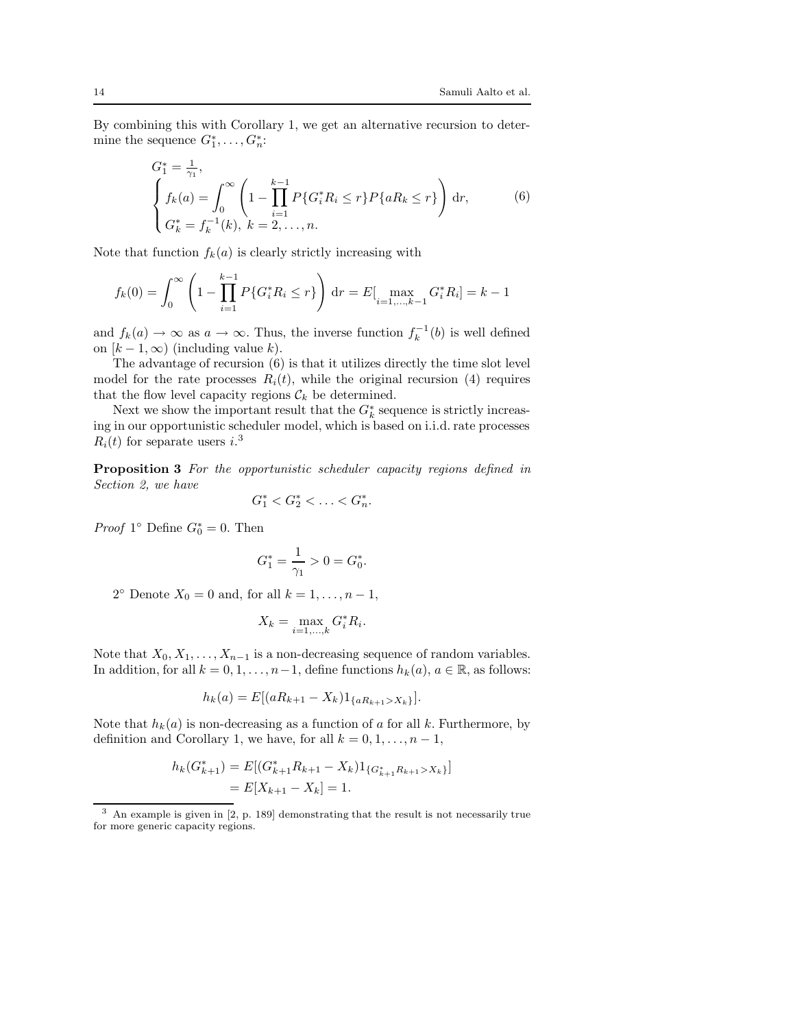By combining this with Corollary 1, we get an alternative recursion to determine the sequence  $G_1^*, \ldots, G_n^*$ :

$$
G_1^* = \frac{1}{\gamma_1},
$$
  
\n
$$
\begin{cases}\nf_k(a) = \int_0^\infty \left(1 - \prod_{i=1}^{k-1} P\{G_i^* R_i \le r\} P\{a R_k \le r\}\right) dr, \\
G_k^* = f_k^{-1}(k), \ k = 2, \dots, n.\n\end{cases}
$$
\n(6)

Note that function  $f_k(a)$  is clearly strictly increasing with

$$
f_k(0) = \int_0^\infty \left(1 - \prod_{i=1}^{k-1} P\{G_i^* R_i \le r\}\right) dr = E\left[\max_{i=1,\dots,k-1} G_i^* R_i\right] = k - 1
$$

and  $f_k(a) \to \infty$  as  $a \to \infty$ . Thus, the inverse function  $f_k^{-1}(b)$  is well defined on  $[k-1,\infty)$  (including value k).

The advantage of recursion (6) is that it utilizes directly the time slot level model for the rate processes  $R_i(t)$ , while the original recursion (4) requires that the flow level capacity regions  $\mathcal{C}_k$  be determined.

Next we show the important result that the  $G_k^*$  sequence is strictly increasing in our opportunistic scheduler model, which is based on i.i.d. rate processes  $R_i(t)$  for separate users  $i$ <sup>3</sup>

Proposition 3 For the opportunistic scheduler capacity regions defined in Section 2, we have

$$
G_1^* < G_2^* < \ldots < G_n^*.
$$

*Proof* 1° Define  $G_0^* = 0$ . Then

$$
G_1^* = \frac{1}{\gamma_1} > 0 = G_0^*.
$$

 $2^{\circ}$  Denote  $X_0 = 0$  and, for all  $k = 1, \ldots, n - 1$ ,

$$
X_k = \max_{i=1,\dots,k} G_i^* R_i.
$$

Note that  $X_0, X_1, \ldots, X_{n-1}$  is a non-decreasing sequence of random variables. In addition, for all  $k = 0, 1, \ldots, n-1$ , define functions  $h_k(a), a \in \mathbb{R}$ , as follows:

$$
h_k(a) = E[(aR_{k+1} - X_k)1_{\{aR_{k+1} > X_k\}}].
$$

Note that  $h_k(a)$  is non-decreasing as a function of a for all k. Furthermore, by definition and Corollary 1, we have, for all  $k = 0, 1, \ldots, n - 1$ ,

$$
h_k(G_{k+1}^*) = E[(G_{k+1}^* R_{k+1} - X_k)1_{\{G_{k+1}^* R_{k+1} > X_k\}}]
$$
  
=  $E[X_{k+1} - X_k] = 1$ .

<sup>3</sup> An example is given in [2, p. 189] demonstrating that the result is not necessarily true for more generic capacity regions.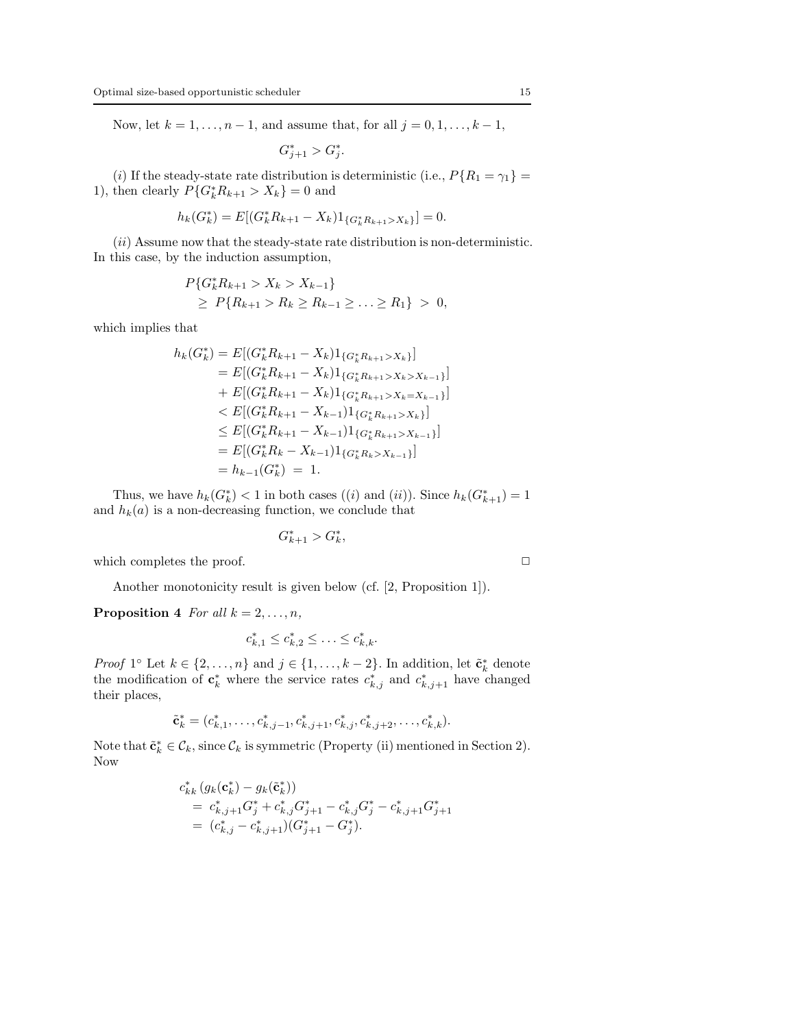Now, let  $k = 1, ..., n - 1$ , and assume that, for all  $j = 0, 1, ..., k - 1$ ,

$$
G_{j+1}^* > G_j^*
$$

.

(i) If the steady-state rate distribution is deterministic (i.e.,  $P\{R_1 = \gamma_1\}$ 1), then clearly  $P\{G_k^* R_{k+1} > X_k\} = 0$  and

$$
h_k(G_k^*) = E[(G_k^* R_{k+1} - X_k)1_{\{G_k^* R_{k+1} > X_k\}}] = 0.
$$

 $(ii)$  Assume now that the steady-state rate distribution is non-deterministic. In this case, by the induction assumption,

$$
P\{G_k^* R_{k+1} > X_k > X_{k-1}\}
$$
  
\n
$$
\geq P\{R_{k+1} > R_k \geq R_{k-1} \geq \ldots \geq R_1\} > 0,
$$

which implies that

$$
h_k(G_k^*) = E[(G_k^* R_{k+1} - X_k)1_{\{G_k^* R_{k+1} > X_k\}}]
$$
  
\n
$$
= E[(G_k^* R_{k+1} - X_k)1_{\{G_k^* R_{k+1} > X_k > X_{k-1}\}}]
$$
  
\n
$$
+ E[(G_k^* R_{k+1} - X_k)1_{\{G_k^* R_{k+1} > X_k = X_{k-1}\}}]
$$
  
\n
$$
< E[(G_k^* R_{k+1} - X_{k-1})1_{\{G_k^* R_{k+1} > X_k\}}]
$$
  
\n
$$
\leq E[(G_k^* R_{k+1} - X_{k-1})1_{\{G_k^* R_{k+1} > X_{k-1}\}}]
$$
  
\n
$$
= E[(G_k^* R_k - X_{k-1})1_{\{G_k^* R_k > X_{k-1}\}}]
$$
  
\n
$$
= h_{k-1}(G_k^*) = 1.
$$

Thus, we have  $h_k(G_k^*) < 1$  in both cases  $((i)$  and  $(ii))$ . Since  $h_k(G_{k+1}^*) = 1$ and  $h_k(a)$  is a non-decreasing function, we conclude that

 $G_{k+1}^* > G_k^*,$ 

which completes the proof.  $\Box$ 

Another monotonicity result is given below (cf. [2, Proposition 1]).

**Proposition 4** For all  $k = 2, ..., n$ ,

$$
c_{k,1}^* \le c_{k,2}^* \le \ldots \le c_{k,k}^*.
$$

*Proof* 1<sup>°</sup> Let  $k \in \{2, ..., n\}$  and  $j \in \{1, ..., k-2\}$ . In addition, let  $\tilde{\mathbf{c}}_k^*$  denote the modification of  $\mathbf{c}_k^*$  where the service rates  $c_{k,j}^*$  and  $c_{k,j+1}^*$  have changed their places,

$$
\tilde{\mathbf{c}}_k^* = (c_{k,1}^*, \ldots, c_{k,j-1}^*, c_{k,j+1}^*, c_{k,j}^*, c_{k,j+2}^*, \ldots, c_{k,k}^*).
$$

Note that  $\tilde{\mathbf{c}}_k^* \in \mathcal{C}_k$ , since  $\mathcal{C}_k$  is symmetric (Property (ii) mentioned in Section 2). Now

$$
c_{kk}^*(g_k(\mathbf{c}_k^*) - g_k(\tilde{\mathbf{c}}_k^*))
$$
  
=  $c_{k,j+1}^* G_j^* + c_{k,j}^* G_{j+1}^* - c_{k,j}^* G_j^* - c_{k,j+1}^* G_{j+1}^*$   
=  $(c_{k,j}^* - c_{k,j+1}^*) (G_{j+1}^* - G_j^*).$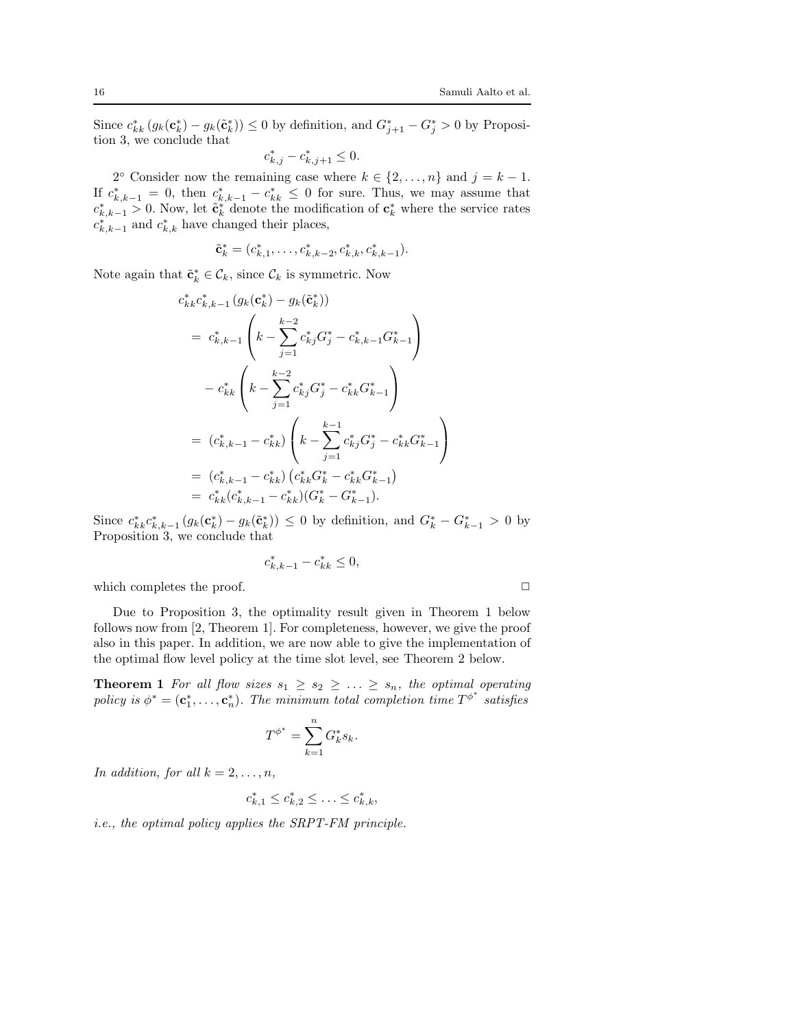Since  $c_{kk}^*(g_k(c_k^*)-g_k(\tilde{c}_k^*))\leq 0$  by definition, and  $G_{j+1}^*-G_j^*>0$  by Proposition 3, we conclude that

$$
c_{k,j}^* - c_{k,j+1}^* \le 0.
$$

2° Consider now the remaining case where  $k \in \{2, ..., n\}$  and  $j = k - 1$ . If  $c_{k,k-1}^* = 0$ , then  $c_{k,k-1}^* - c_{kk}^* \leq 0$  for sure. Thus, we may assume that  $c_{k,k-1}^* > 0$ . Now, let  $\tilde{\mathbf{c}}_k^*$  denote the modification of  $\mathbf{c}_k^*$  where the service rates  $c_{k,k-1}^*$  and  $c_{k,k}^*$  have changed their places,

$$
\tilde{\mathbf{c}}_k^* = (c_{k,1}^*, \ldots, c_{k,k-2}^*, c_{k,k}^*, c_{k,k-1}^*).
$$

Note again that  $\tilde{\mathbf{c}}_k^* \in \mathcal{C}_k$ , since  $\mathcal{C}_k$  is symmetric. Now

$$
c_{kk}^{*}c_{k,k-1}^{*}\left(g_{k}(\mathbf{c}_{k}^{*})-g_{k}(\tilde{\mathbf{c}}_{k}^{*})\right)
$$
\n
$$
= c_{k,k-1}^{*}\left(k-\sum_{j=1}^{k-2}c_{kj}^{*}G_{j}^{*}-c_{k,k-1}^{*}G_{k-1}^{*}\right)
$$
\n
$$
-c_{kk}^{*}\left(k-\sum_{j=1}^{k-2}c_{kj}^{*}G_{j}^{*}-c_{kk}^{*}G_{k-1}^{*}\right)
$$
\n
$$
= (c_{k,k-1}^{*}-c_{kk}^{*})\left(k-\sum_{j=1}^{k-1}c_{kj}^{*}G_{j}^{*}-c_{kk}^{*}G_{k-1}^{*}\right)
$$
\n
$$
= (c_{k,k-1}^{*}-c_{kk}^{*})\left(c_{kk}^{*}G_{k}^{*}-c_{kk}^{*}G_{k-1}^{*}\right)
$$
\n
$$
= c_{kk}^{*}(c_{k,k-1}^{*}-c_{kk}^{*})(G_{k}^{*}-G_{k-1}^{*}).
$$

Since  $c_{kk}^* c_{k,k-1}^* (g_k(c_k^*) - g_k(\tilde{c}_k^*)) \leq 0$  by definition, and  $G_k^* - G_{k-1}^* > 0$  by Proposition 3, we conclude that

$$
c_{k,k-1}^* - c_{kk}^* \le 0,
$$

which completes the proof.  $\Box$ 

Due to Proposition 3, the optimality result given in Theorem 1 below follows now from [2, Theorem 1]. For completeness, however, we give the proof also in this paper. In addition, we are now able to give the implementation of the optimal flow level policy at the time slot level, see Theorem 2 below.

**Theorem 1** For all flow sizes  $s_1 \geq s_2 \geq \ldots \geq s_n$ , the optimal operating policy is  $\phi^* = (\mathbf{c}_1^*, \ldots, \mathbf{c}_n^*)$ . The minimum total completion time  $T^{\phi^*}$  satisfies

$$
T^{\phi^*} = \sum_{k=1}^n G_k^* s_k.
$$

In addition, for all  $k = 2, \ldots, n$ ,

$$
c_{k,1}^* \le c_{k,2}^* \le \ldots \le c_{k,k}^*,
$$

i.e., the optimal policy applies the SRPT-FM principle.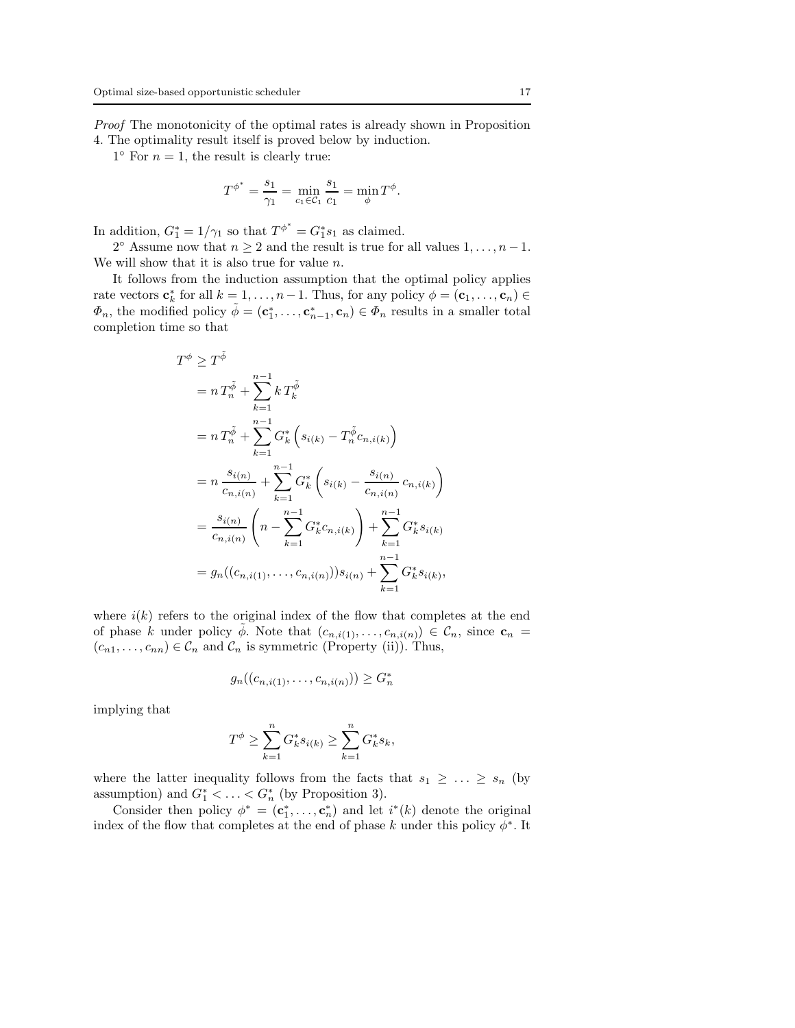Proof The monotonicity of the optimal rates is already shown in Proposition 4. The optimality result itself is proved below by induction.

 $1^{\circ}$  For  $n = 1$ , the result is clearly true:

$$
T^{\phi^*} = \frac{s_1}{\gamma_1} = \min_{c_1 \in \mathcal{C}_1} \frac{s_1}{c_1} = \min_{\phi} T^{\phi}.
$$

In addition,  $G_1^* = 1/\gamma_1$  so that  $T^{\phi^*} = G_1^* s_1$  as claimed.

2° Assume now that  $n \geq 2$  and the result is true for all values  $1, \ldots, n-1$ . We will show that it is also true for value  $n$ .

It follows from the induction assumption that the optimal policy applies rate vectors  $\mathbf{c}_k^*$  for all  $k = 1, \ldots, n-1$ . Thus, for any policy  $\phi = (\mathbf{c}_1, \ldots, \mathbf{c}_n) \in$  $\Phi_n$ , the modified policy  $\tilde{\phi} = (\mathbf{c}_1^*, \dots, \mathbf{c}_{n-1}^*, \mathbf{c}_n) \in \Phi_n$  results in a smaller total completion time so that

$$
T^{\phi} \geq T^{\tilde{\phi}}
$$
  
\n
$$
= n T_n^{\tilde{\phi}} + \sum_{k=1}^{n-1} k T_k^{\tilde{\phi}}
$$
  
\n
$$
= n T_n^{\tilde{\phi}} + \sum_{k=1}^{n-1} G_k^* \left( s_{i(k)} - T_n^{\tilde{\phi}} c_{n,i(k)} \right)
$$
  
\n
$$
= n \frac{s_{i(n)}}{c_{n,i(n)}} + \sum_{k=1}^{n-1} G_k^* \left( s_{i(k)} - \frac{s_{i(n)}}{c_{n,i(n)}} c_{n,i(k)} \right)
$$
  
\n
$$
= \frac{s_{i(n)}}{c_{n,i(n)}} \left( n - \sum_{k=1}^{n-1} G_k^* c_{n,i(k)} \right) + \sum_{k=1}^{n-1} G_k^* s_{i(k)}
$$
  
\n
$$
= g_n((c_{n,i(1)}, \dots, c_{n,i(n)})) s_{i(n)} + \sum_{k=1}^{n-1} G_k^* s_{i(k)},
$$

where  $i(k)$  refers to the original index of the flow that completes at the end of phase k under policy  $\phi$ . Note that  $(c_{n,i(1)},...,c_{n,i(n)}) \in \mathcal{C}_n$ , since  $\mathbf{c}_n =$  $(c_{n1}, \ldots, c_{nn}) \in \mathcal{C}_n$  and  $\mathcal{C}_n$  is symmetric (Property (ii)). Thus,

$$
g_n((c_{n,i(1)},\ldots,c_{n,i(n)}))\geq G_n^*
$$

implying that

$$
T^{\phi} \ge \sum_{k=1}^{n} G_{k}^{*} s_{i(k)} \ge \sum_{k=1}^{n} G_{k}^{*} s_{k},
$$

where the latter inequality follows from the facts that  $s_1 \geq \ldots \geq s_n$  (by assumption) and  $G_1^* < \ldots < G_n^*$  (by Proposition 3).

Consider then policy  $\phi^* = (\mathbf{c}_1^*, \dots, \mathbf{c}_n^*)$  and let  $i^*(k)$  denote the original index of the flow that completes at the end of phase k under this policy  $\phi^*$ . It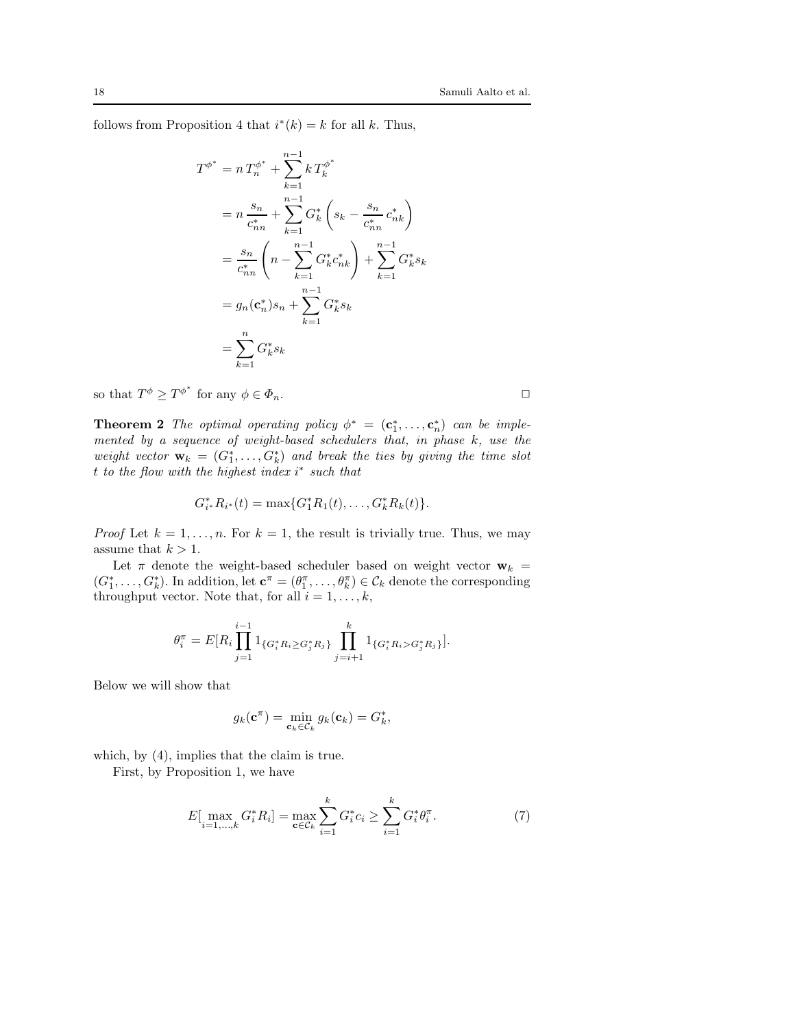follows from Proposition 4 that  $i^*(k) = k$  for all k. Thus,

$$
T^{\phi^*} = n T_n^{\phi^*} + \sum_{k=1}^{n-1} k T_k^{\phi^*}
$$
  
=  $n \frac{s_n}{c_{nn}^*} + \sum_{k=1}^{n-1} G_k^* \left(s_k - \frac{s_n}{c_{nn}^*} c_{nk}^*\right)$   
=  $\frac{s_n}{c_{nn}^*} \left(n - \sum_{k=1}^{n-1} G_k^* c_{nk}^*\right) + \sum_{k=1}^{n-1} G_k^* s_k$   
=  $g_n(\mathbf{c}_n^*) s_n + \sum_{k=1}^{n-1} G_k^* s_k$   
=  $\sum_{k=1}^n G_k^* s_k$ 

so that  $T^{\phi} \geq T^{\phi^*}$  for any  $\phi \in \Phi_n$ .

**Theorem 2** The optimal operating policy  $\phi^* = (\mathbf{c}_1^*, \ldots, \mathbf{c}_n^*)$  can be implemented by a sequence of weight-based schedulers that, in phase k, use the weight vector  $\mathbf{w}_k = (G_1^*, \ldots, G_k^*)$  and break the ties by giving the time slot t to the flow with the highest index i<sup>∗</sup> such that

$$
G_{i^*}^* R_{i^*}(t) = \max\{G_1^* R_1(t), \ldots, G_k^* R_k(t)\}.
$$

*Proof* Let  $k = 1, \ldots, n$ . For  $k = 1$ , the result is trivially true. Thus, we may assume that  $k > 1$ .

Let  $\pi$  denote the weight-based scheduler based on weight vector  $\mathbf{w}_k =$  $(G_1^*,...,G_k^*)$ . In addition, let  $\mathbf{c}^\pi = (\theta_1^\pi,...,\theta_k^\pi) \in \mathcal{C}_k$  denote the corresponding throughput vector. Note that, for all  $i = 1, \ldots, k$ ,

$$
\theta_i^{\pi} = E[R_i \prod_{j=1}^{i-1} 1_{\{G_i^* R_i \ge G_j^* R_j\}} \prod_{j=i+1}^k 1_{\{G_i^* R_i > G_j^* R_j\}}].
$$

Below we will show that

$$
g_k(\mathbf{c}^\pi) = \min_{\mathbf{c}_k \in \mathcal{C}_k} g_k(\mathbf{c}_k) = G_k^*,
$$

which, by (4), implies that the claim is true.

First, by Proposition 1, we have

$$
E[\max_{i=1,\dots,k} G_i^* R_i] = \max_{\mathbf{c} \in C_k} \sum_{i=1}^k G_i^* c_i \ge \sum_{i=1}^k G_i^* \theta_i^{\pi}.
$$
 (7)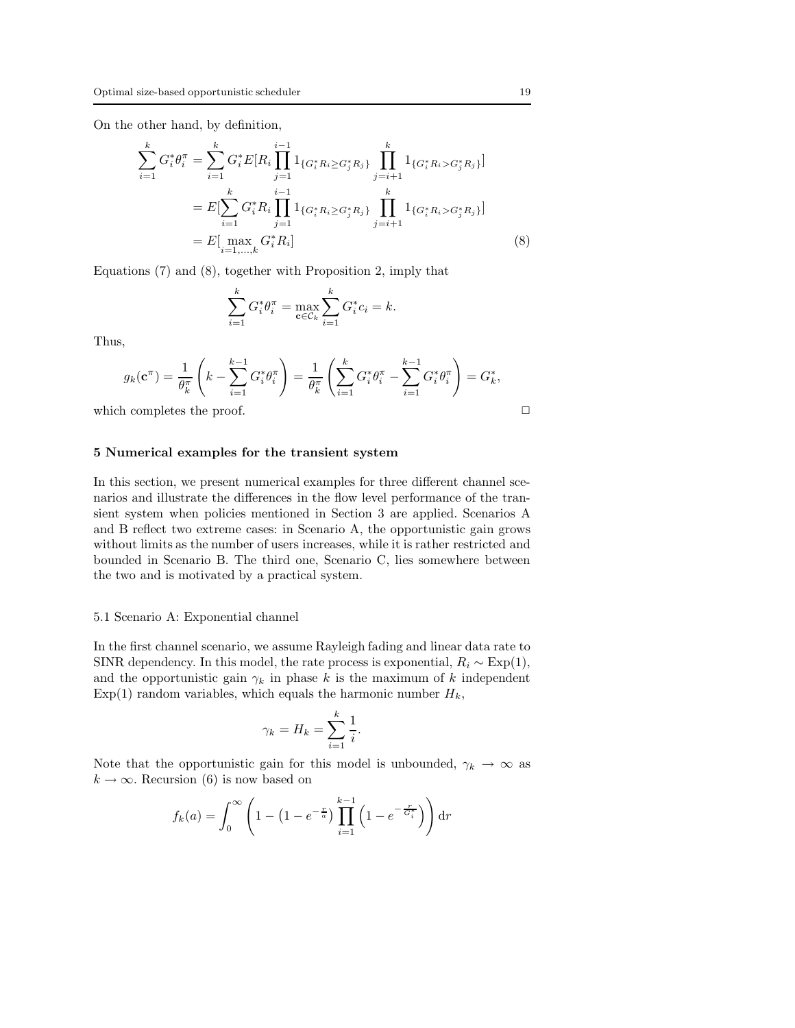On the other hand, by definition,

$$
\sum_{i=1}^{k} G_i^* \theta_i^{\pi} = \sum_{i=1}^{k} G_i^* E[R_i \prod_{j=1}^{i-1} 1_{\{G_i^* R_i \ge G_j^* R_j\}} \prod_{j=i+1}^{k} 1_{\{G_i^* R_i > G_j^* R_j\}}]
$$
\n
$$
= E[\sum_{i=1}^{k} G_i^* R_i \prod_{j=1}^{i-1} 1_{\{G_i^* R_i \ge G_j^* R_j\}} \prod_{j=i+1}^{k} 1_{\{G_i^* R_i > G_j^* R_j\}}]
$$
\n
$$
= E[\max_{i=1,\dots,k} G_i^* R_i]
$$
\n(8)

Equations (7) and (8), together with Proposition 2, imply that

$$
\sum_{i=1}^{k} G_i^* \theta_i^{\pi} = \max_{\mathbf{c} \in C_k} \sum_{i=1}^{k} G_i^* c_i = k.
$$

Thus,

$$
g_k(\mathbf{c}^{\pi}) = \frac{1}{\theta_k^{\pi}} \left( k - \sum_{i=1}^{k-1} G_i^* \theta_i^{\pi} \right) = \frac{1}{\theta_k^{\pi}} \left( \sum_{i=1}^k G_i^* \theta_i^{\pi} - \sum_{i=1}^{k-1} G_i^* \theta_i^{\pi} \right) = G_k^*,
$$

which completes the proof.  $\Box$ 

### 5 Numerical examples for the transient system

In this section, we present numerical examples for three different channel scenarios and illustrate the differences in the flow level performance of the transient system when policies mentioned in Section 3 are applied. Scenarios A and B reflect two extreme cases: in Scenario A, the opportunistic gain grows without limits as the number of users increases, while it is rather restricted and bounded in Scenario B. The third one, Scenario C, lies somewhere between the two and is motivated by a practical system.

#### 5.1 Scenario A: Exponential channel

In the first channel scenario, we assume Rayleigh fading and linear data rate to SINR dependency. In this model, the rate process is exponential,  $R_i \sim \text{Exp}(1)$ , and the opportunistic gain  $\gamma_k$  in phase k is the maximum of k independent Exp(1) random variables, which equals the harmonic number  $H_k$ ,

$$
\gamma_k = H_k = \sum_{i=1}^k \frac{1}{i}.
$$

Note that the opportunistic gain for this model is unbounded,  $\gamma_k \to \infty$  as  $k \to \infty$ . Recursion (6) is now based on

$$
f_k(a) = \int_0^{\infty} \left(1 - \left(1 - e^{-\frac{r}{a}}\right) \prod_{i=1}^{k-1} \left(1 - e^{-\frac{r}{G_i^*}}\right)\right) dr
$$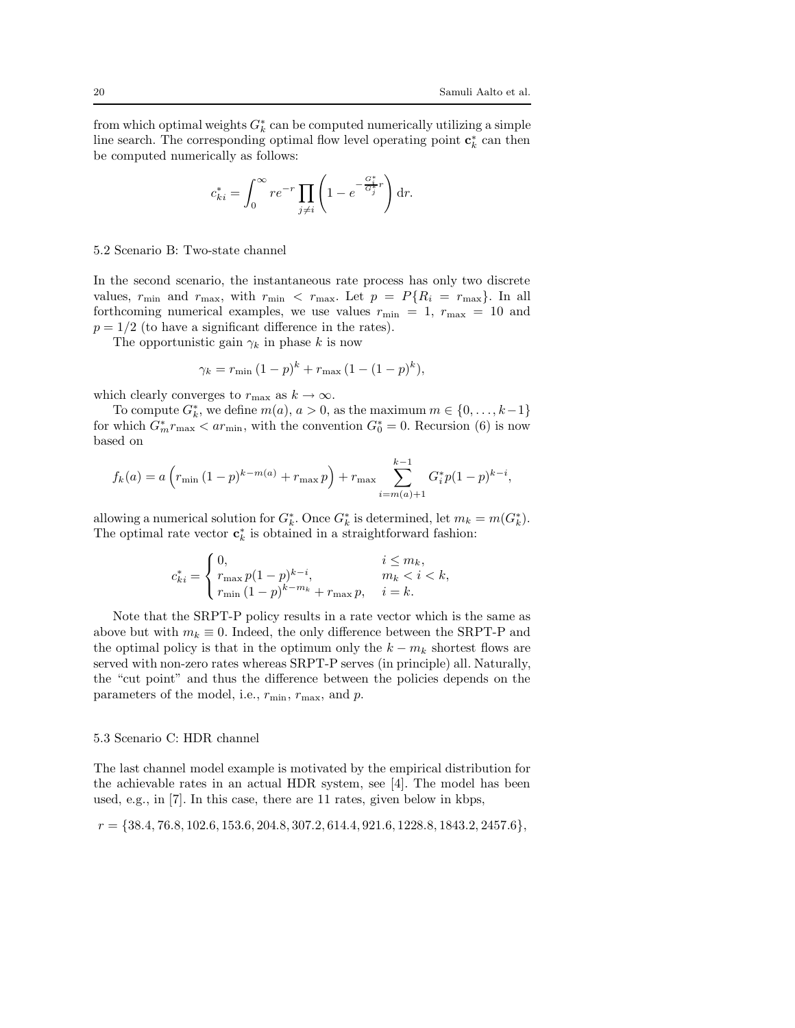from which optimal weights  $G_k^*$  can be computed numerically utilizing a simple line search. The corresponding optimal flow level operating point  $\mathbf{c}_k^*$  can then be computed numerically as follows:

$$
c_{ki}^* = \int_0^\infty r e^{-r} \prod_{j \neq i} \left( 1 - e^{-\frac{G_i^*}{G_j^*}r} \right) dr.
$$

### 5.2 Scenario B: Two-state channel

In the second scenario, the instantaneous rate process has only two discrete values,  $r_{\min}$  and  $r_{\max}$ , with  $r_{\min} < r_{\max}$ . Let  $p = P\{R_i = r_{\max}\}\$ . In all forthcoming numerical examples, we use values  $r_{\min} = 1$ ,  $r_{\max} = 10$  and  $p = 1/2$  (to have a significant difference in the rates).

The opportunistic gain  $\gamma_k$  in phase k is now

$$
\gamma_k = r_{\min} (1 - p)^k + r_{\max} (1 - (1 - p)^k),
$$

which clearly converges to  $r_{\text{max}}$  as  $k \to \infty$ .

To compute  $G_k^*$ , we define  $m(a)$ ,  $a > 0$ , as the maximum  $m \in \{0, \ldots, k-1\}$ for which  $G_m^* r_{\text{max}} < ar_{\text{min}}$ , with the convention  $G_0^* = 0$ . Recursion (6) is now based on

$$
f_k(a) = a \left( r_{\min} \left( 1 - p \right)^{k - m(a)} + r_{\max} p \right) + r_{\max} \sum_{i = m(a) + 1}^{k - 1} G_i^* p (1 - p)^{k - i},
$$

allowing a numerical solution for  $G_k^*$ . Once  $G_k^*$  is determined, let  $m_k = m(G_k^*)$ . The optimal rate vector  $\mathbf{c}_k^*$  is obtained in a straightforward fashion:

$$
c_{ki}^{*} = \begin{cases} 0, & i \le m_k, \\ r_{\max} p(1-p)^{k-i}, & m_k < i < k, \\ r_{\min} (1-p)^{k-m_k} + r_{\max} p, & i = k. \end{cases}
$$

Note that the SRPT-P policy results in a rate vector which is the same as above but with  $m_k \equiv 0$ . Indeed, the only difference between the SRPT-P and the optimal policy is that in the optimum only the  $k - m_k$  shortest flows are served with non-zero rates whereas SRPT-P serves (in principle) all. Naturally, the "cut point" and thus the difference between the policies depends on the parameters of the model, i.e.,  $r_{\text{min}}$ ,  $r_{\text{max}}$ , and  $p$ .

#### 5.3 Scenario C: HDR channel

The last channel model example is motivated by the empirical distribution for the achievable rates in an actual HDR system, see [4]. The model has been used, e.g., in [7]. In this case, there are 11 rates, given below in kbps,

$$
r = \{38.4, 76.8, 102.6, 153.6, 204.8, 307.2, 614.4, 921.6, 1228.8, 1843.2, 2457.6\},\
$$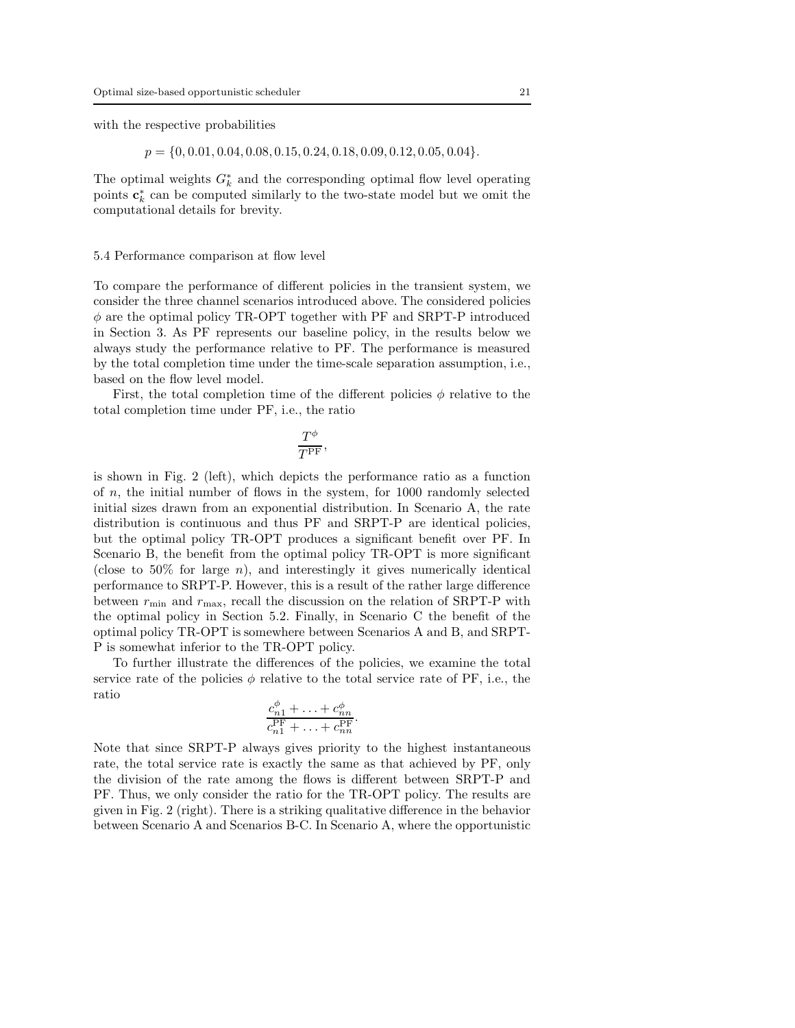with the respective probabilities

$$
p = \{0, 0.01, 0.04, 0.08, 0.15, 0.24, 0.18, 0.09, 0.12, 0.05, 0.04\}.
$$

The optimal weights  $G_k^*$  and the corresponding optimal flow level operating points  $\mathbf{c}_k^*$  can be computed similarly to the two-state model but we omit the computational details for brevity.

#### 5.4 Performance comparison at flow level

To compare the performance of different policies in the transient system, we consider the three channel scenarios introduced above. The considered policies  $\phi$  are the optimal policy TR-OPT together with PF and SRPT-P introduced in Section 3. As PF represents our baseline policy, in the results below we always study the performance relative to PF. The performance is measured by the total completion time under the time-scale separation assumption, i.e., based on the flow level model.

First, the total completion time of the different policies  $\phi$  relative to the total completion time under PF, i.e., the ratio

$$
\frac{T^{\phi}}{T^{\rm PF}},
$$

is shown in Fig. 2 (left), which depicts the performance ratio as a function of  $n$ , the initial number of flows in the system, for 1000 randomly selected initial sizes drawn from an exponential distribution. In Scenario A, the rate distribution is continuous and thus PF and SRPT-P are identical policies, but the optimal policy TR-OPT produces a significant benefit over PF. In Scenario B, the benefit from the optimal policy TR-OPT is more significant (close to  $50\%$  for large *n*), and interestingly it gives numerically identical performance to SRPT-P. However, this is a result of the rather large difference between  $r_{\min}$  and  $r_{\max}$ , recall the discussion on the relation of SRPT-P with the optimal policy in Section 5.2. Finally, in Scenario C the benefit of the optimal policy TR-OPT is somewhere between Scenarios A and B, and SRPT-P is somewhat inferior to the TR-OPT policy.

To further illustrate the differences of the policies, we examine the total service rate of the policies  $\phi$  relative to the total service rate of PF, i.e., the ratio

$$
\frac{c_{n1}^{\phi} + \ldots + c_{nn}^{\phi}}{c_{n1}^{\text{PF}} + \ldots + c_{nn}^{\text{PF}}}.
$$

Note that since SRPT-P always gives priority to the highest instantaneous rate, the total service rate is exactly the same as that achieved by PF, only the division of the rate among the flows is different between SRPT-P and PF. Thus, we only consider the ratio for the TR-OPT policy. The results are given in Fig. 2 (right). There is a striking qualitative difference in the behavior between Scenario A and Scenarios B-C. In Scenario A, where the opportunistic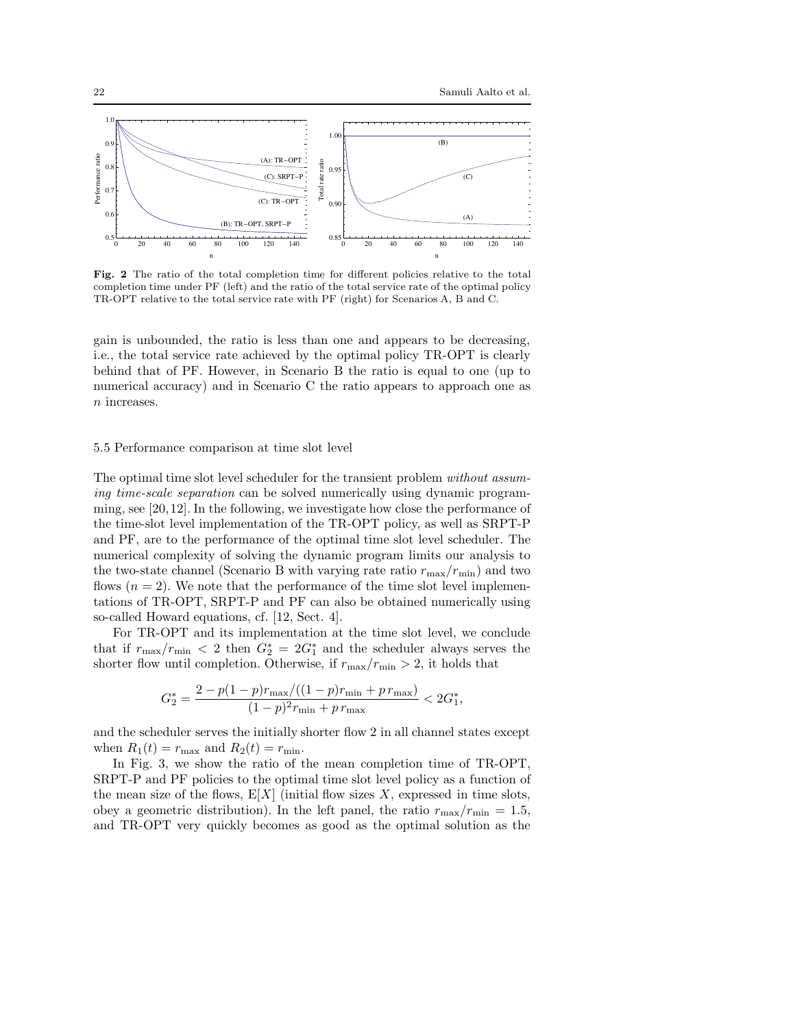

Fig. 2 The ratio of the total completion time for different policies relative to the total completion time under PF (left) and the ratio of the total service rate of the optimal policy TR-OPT relative to the total service rate with PF (right) for Scenarios A, B and C.

gain is unbounded, the ratio is less than one and appears to be decreasing, i.e., the total service rate achieved by the optimal policy TR-OPT is clearly behind that of PF. However, in Scenario B the ratio is equal to one (up to numerical accuracy) and in Scenario C the ratio appears to approach one as n increases.

### 5.5 Performance comparison at time slot level

The optimal time slot level scheduler for the transient problem without assuming time-scale separation can be solved numerically using dynamic programming, see [20, 12]. In the following, we investigate how close the performance of the time-slot level implementation of the TR-OPT policy, as well as SRPT-P and PF, are to the performance of the optimal time slot level scheduler. The numerical complexity of solving the dynamic program limits our analysis to the two-state channel (Scenario B with varying rate ratio  $r_{\text{max}}/r_{\text{min}}$ ) and two flows  $(n = 2)$ . We note that the performance of the time slot level implementations of TR-OPT, SRPT-P and PF can also be obtained numerically using so-called Howard equations, cf. [12, Sect. 4].

For TR-OPT and its implementation at the time slot level, we conclude that if  $r_{\text{max}}/r_{\text{min}} < 2$  then  $G_2^* = 2G_1^*$  and the scheduler always serves the shorter flow until completion. Otherwise, if  $r_{\text{max}}/r_{\text{min}} > 2$ , it holds that

$$
G_2^* = \frac{2 - p(1 - p)r_{\text{max}}/(1 - p)r_{\text{min}} + p r_{\text{max}})}{(1 - p)^2 r_{\text{min}} + p r_{\text{max}}} < 2G_1^*,
$$

and the scheduler serves the initially shorter flow 2 in all channel states except when  $R_1(t) = r_{\text{max}}$  and  $R_2(t) = r_{\text{min}}$ .

In Fig. 3, we show the ratio of the mean completion time of TR-OPT, SRPT-P and PF policies to the optimal time slot level policy as a function of the mean size of the flows,  $E[X]$  (initial flow sizes X, expressed in time slots, obey a geometric distribution). In the left panel, the ratio  $r_{\text{max}}/r_{\text{min}} = 1.5$ , and TR-OPT very quickly becomes as good as the optimal solution as the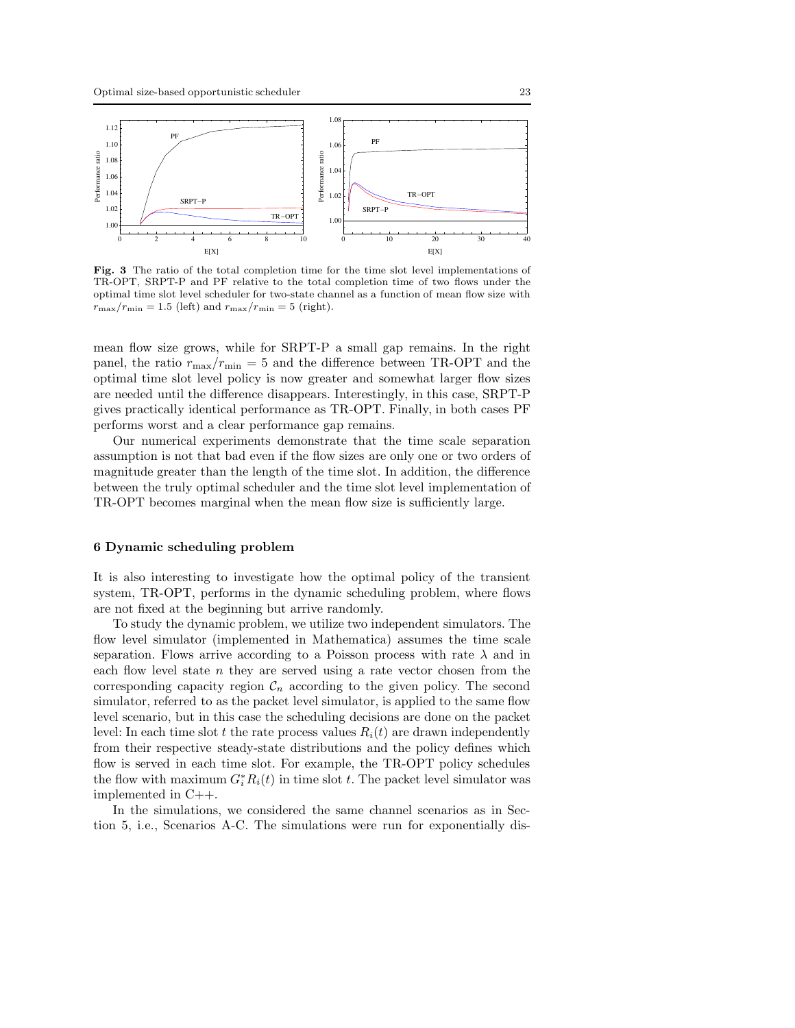

Fig. 3 The ratio of the total completion time for the time slot level implementations of TR-OPT, SRPT-P and PF relative to the total completion time of two flows under the optimal time slot level scheduler for two-state channel as a function of mean flow size with  $r_{\text{max}}/r_{\text{min}} = 1.5$  (left) and  $r_{\text{max}}/r_{\text{min}} = 5$  (right).

mean flow size grows, while for SRPT-P a small gap remains. In the right panel, the ratio  $r_{\text{max}}/r_{\text{min}} = 5$  and the difference between TR-OPT and the optimal time slot level policy is now greater and somewhat larger flow sizes are needed until the difference disappears. Interestingly, in this case, SRPT-P gives practically identical performance as TR-OPT. Finally, in both cases PF performs worst and a clear performance gap remains.

Our numerical experiments demonstrate that the time scale separation assumption is not that bad even if the flow sizes are only one or two orders of magnitude greater than the length of the time slot. In addition, the difference between the truly optimal scheduler and the time slot level implementation of TR-OPT becomes marginal when the mean flow size is sufficiently large.

### 6 Dynamic scheduling problem

It is also interesting to investigate how the optimal policy of the transient system, TR-OPT, performs in the dynamic scheduling problem, where flows are not fixed at the beginning but arrive randomly.

To study the dynamic problem, we utilize two independent simulators. The flow level simulator (implemented in Mathematica) assumes the time scale separation. Flows arrive according to a Poisson process with rate  $\lambda$  and in each flow level state  $n$  they are served using a rate vector chosen from the corresponding capacity region  $\mathcal{C}_n$  according to the given policy. The second simulator, referred to as the packet level simulator, is applied to the same flow level scenario, but in this case the scheduling decisions are done on the packet level: In each time slot t the rate process values  $R_i(t)$  are drawn independently from their respective steady-state distributions and the policy defines which flow is served in each time slot. For example, the TR-OPT policy schedules the flow with maximum  $G_i^* R_i(t)$  in time slot t. The packet level simulator was implemented in C++.

In the simulations, we considered the same channel scenarios as in Section 5, i.e., Scenarios A-C. The simulations were run for exponentially dis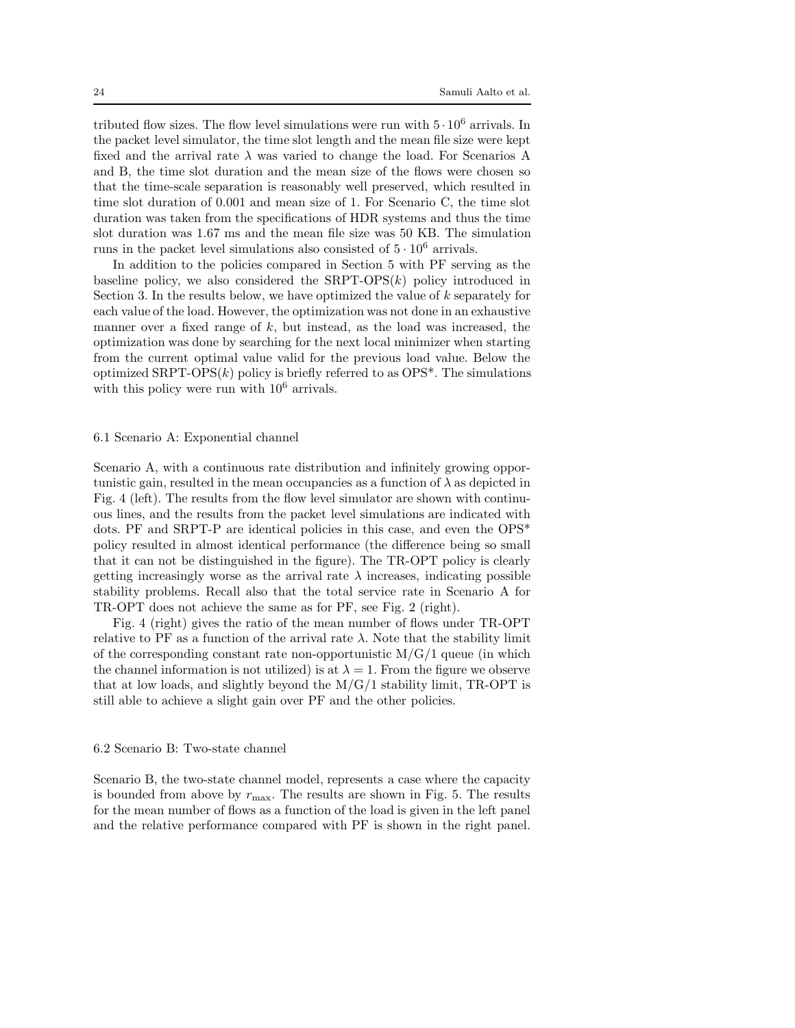tributed flow sizes. The flow level simulations were run with  $5 \cdot 10^6$  arrivals. In the packet level simulator, the time slot length and the mean file size were kept fixed and the arrival rate  $\lambda$  was varied to change the load. For Scenarios A and B, the time slot duration and the mean size of the flows were chosen so that the time-scale separation is reasonably well preserved, which resulted in time slot duration of 0.001 and mean size of 1. For Scenario C, the time slot duration was taken from the specifications of HDR systems and thus the time slot duration was 1.67 ms and the mean file size was 50 KB. The simulation runs in the packet level simulations also consisted of  $5\cdot 10^6$  arrivals.

In addition to the policies compared in Section 5 with PF serving as the baseline policy, we also considered the  $\text{SRPT-OPS}(k)$  policy introduced in Section 3. In the results below, we have optimized the value of k separately for each value of the load. However, the optimization was not done in an exhaustive manner over a fixed range of  $k$ , but instead, as the load was increased, the optimization was done by searching for the next local minimizer when starting from the current optimal value valid for the previous load value. Below the optimized  $\text{SRPT-OPS}(k)$  policy is briefly referred to as  $\text{OPS}^*$ . The simulations with this policy were run with  $10^6$  arrivals.

#### 6.1 Scenario A: Exponential channel

Scenario A, with a continuous rate distribution and infinitely growing opportunistic gain, resulted in the mean occupancies as a function of  $\lambda$  as depicted in Fig. 4 (left). The results from the flow level simulator are shown with continuous lines, and the results from the packet level simulations are indicated with dots. PF and SRPT-P are identical policies in this case, and even the OPS\* policy resulted in almost identical performance (the difference being so small that it can not be distinguished in the figure). The TR-OPT policy is clearly getting increasingly worse as the arrival rate  $\lambda$  increases, indicating possible stability problems. Recall also that the total service rate in Scenario A for TR-OPT does not achieve the same as for PF, see Fig. 2 (right).

Fig. 4 (right) gives the ratio of the mean number of flows under TR-OPT relative to PF as a function of the arrival rate  $\lambda$ . Note that the stability limit of the corresponding constant rate non-opportunistic  $M/G/1$  queue (in which the channel information is not utilized) is at  $\lambda = 1$ . From the figure we observe that at low loads, and slightly beyond the  $M/G/1$  stability limit, TR-OPT is still able to achieve a slight gain over PF and the other policies.

### 6.2 Scenario B: Two-state channel

Scenario B, the two-state channel model, represents a case where the capacity is bounded from above by  $r_{\text{max}}$ . The results are shown in Fig. 5. The results for the mean number of flows as a function of the load is given in the left panel and the relative performance compared with PF is shown in the right panel.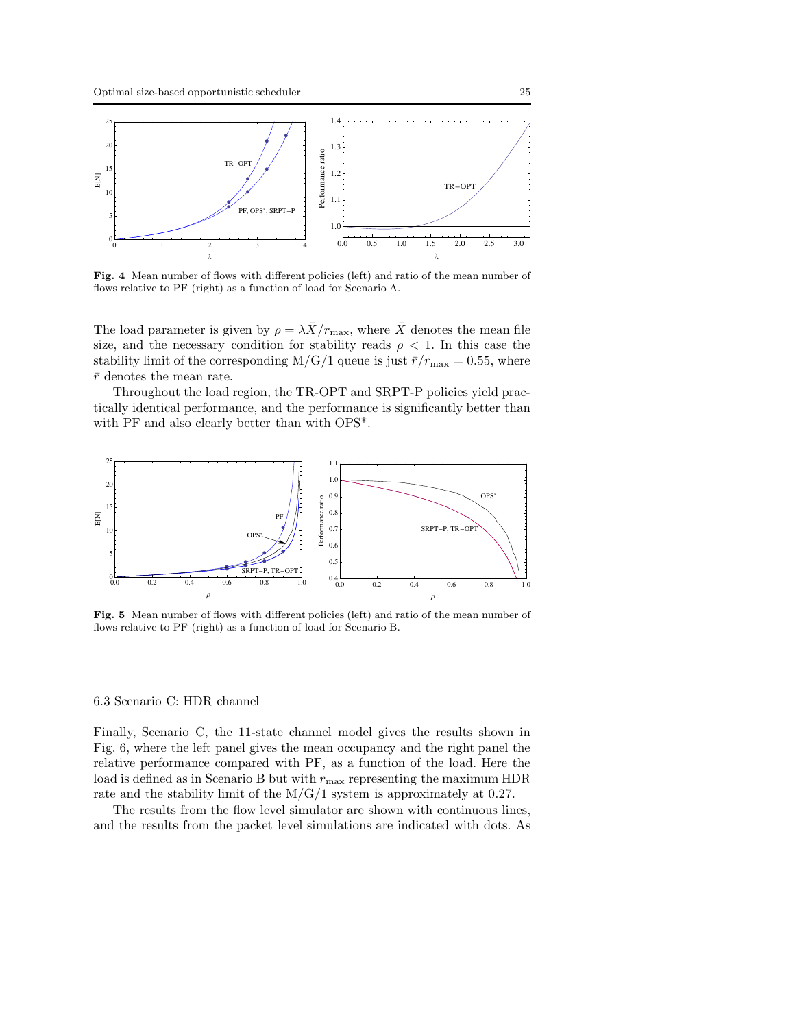

Fig. 4 Mean number of flows with different policies (left) and ratio of the mean number of flows relative to PF (right) as a function of load for Scenario A.

The load parameter is given by  $\rho = \lambda \bar{X}/r_{\text{max}}$ , where  $\bar{X}$  denotes the mean file size, and the necessary condition for stability reads  $\rho < 1$ . In this case the stability limit of the corresponding M/G/1 queue is just  $\bar{r}/r_{\text{max}} = 0.55$ , where  $\bar{r}$  denotes the mean rate.

Throughout the load region, the TR-OPT and SRPT-P policies yield practically identical performance, and the performance is significantly better than with PF and also clearly better than with OPS\*.



Fig. 5 Mean number of flows with different policies (left) and ratio of the mean number of flows relative to PF (right) as a function of load for Scenario B.

#### 6.3 Scenario C: HDR channel

Finally, Scenario C, the 11-state channel model gives the results shown in Fig. 6, where the left panel gives the mean occupancy and the right panel the relative performance compared with PF, as a function of the load. Here the load is defined as in Scenario B but with  $r_{\text{max}}$  representing the maximum HDR rate and the stability limit of the  $M/G/1$  system is approximately at 0.27.

The results from the flow level simulator are shown with continuous lines, and the results from the packet level simulations are indicated with dots. As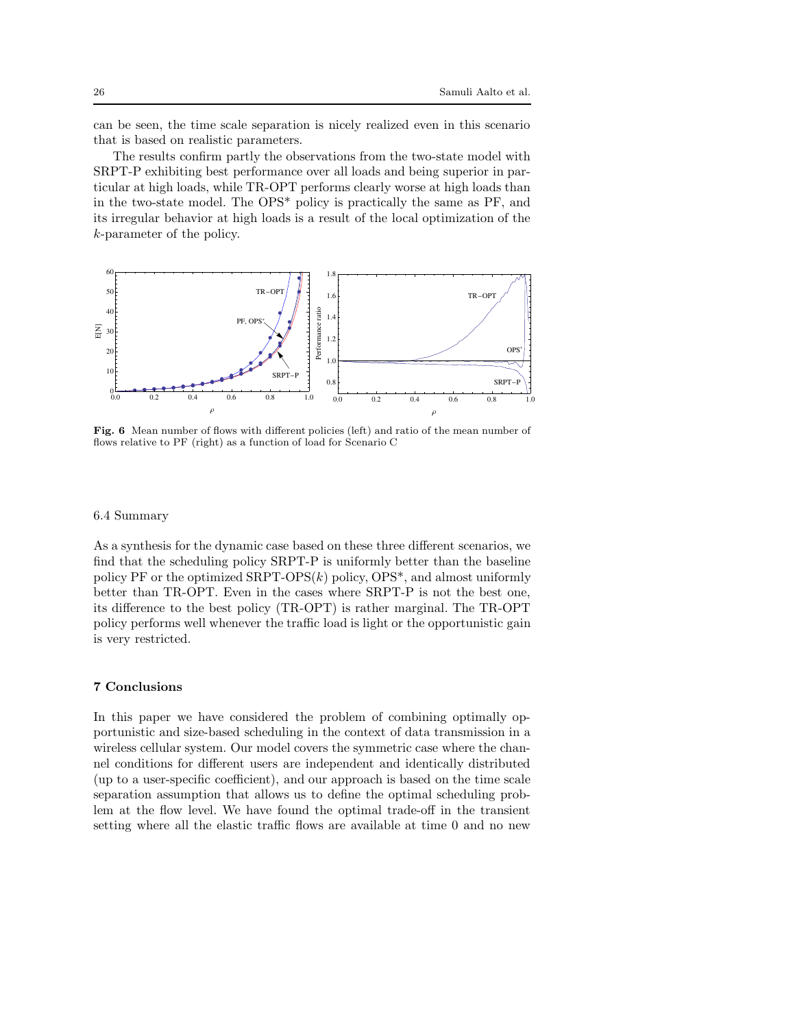can be seen, the time scale separation is nicely realized even in this scenario that is based on realistic parameters.

The results confirm partly the observations from the two-state model with SRPT-P exhibiting best performance over all loads and being superior in particular at high loads, while TR-OPT performs clearly worse at high loads than in the two-state model. The OPS\* policy is practically the same as PF, and its irregular behavior at high loads is a result of the local optimization of the k-parameter of the policy.



Fig. 6 Mean number of flows with different policies (left) and ratio of the mean number of flows relative to PF (right) as a function of load for Scenario C

### 6.4 Summary

As a synthesis for the dynamic case based on these three different scenarios, we find that the scheduling policy SRPT-P is uniformly better than the baseline policy PF or the optimized SRPT-OPS $(k)$  policy, OPS\*, and almost uniformly better than TR-OPT. Even in the cases where SRPT-P is not the best one, its difference to the best policy (TR-OPT) is rather marginal. The TR-OPT policy performs well whenever the traffic load is light or the opportunistic gain is very restricted.

# 7 Conclusions

In this paper we have considered the problem of combining optimally opportunistic and size-based scheduling in the context of data transmission in a wireless cellular system. Our model covers the symmetric case where the channel conditions for different users are independent and identically distributed (up to a user-specific coefficient), and our approach is based on the time scale separation assumption that allows us to define the optimal scheduling problem at the flow level. We have found the optimal trade-off in the transient setting where all the elastic traffic flows are available at time 0 and no new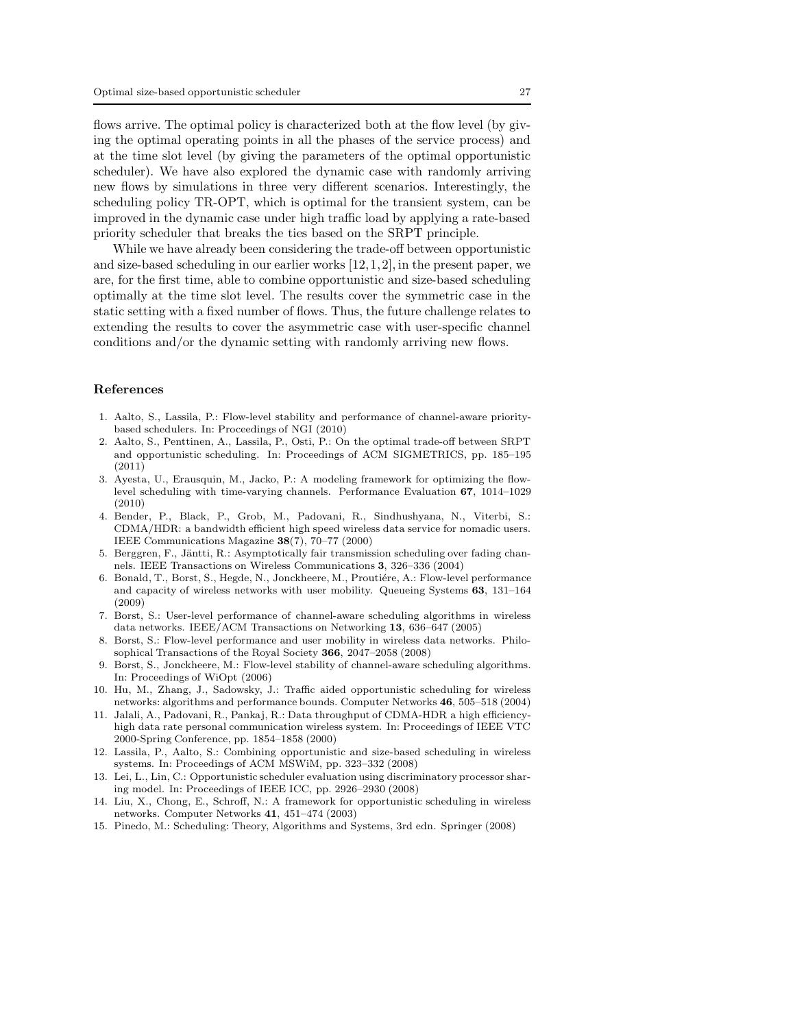flows arrive. The optimal policy is characterized both at the flow level (by giving the optimal operating points in all the phases of the service process) and at the time slot level (by giving the parameters of the optimal opportunistic scheduler). We have also explored the dynamic case with randomly arriving new flows by simulations in three very different scenarios. Interestingly, the scheduling policy TR-OPT, which is optimal for the transient system, can be improved in the dynamic case under high traffic load by applying a rate-based priority scheduler that breaks the ties based on the SRPT principle.

While we have already been considering the trade-off between opportunistic and size-based scheduling in our earlier works [12, 1, 2], in the present paper, we are, for the first time, able to combine opportunistic and size-based scheduling optimally at the time slot level. The results cover the symmetric case in the static setting with a fixed number of flows. Thus, the future challenge relates to extending the results to cover the asymmetric case with user-specific channel conditions and/or the dynamic setting with randomly arriving new flows.

### References

- 1. Aalto, S., Lassila, P.: Flow-level stability and performance of channel-aware prioritybased schedulers. In: Proceedings of NGI (2010)
- 2. Aalto, S., Penttinen, A., Lassila, P., Osti, P.: On the optimal trade-off between SRPT and opportunistic scheduling. In: Proceedings of ACM SIGMETRICS, pp. 185–195 (2011)
- 3. Ayesta, U., Erausquin, M., Jacko, P.: A modeling framework for optimizing the flowlevel scheduling with time-varying channels. Performance Evaluation 67, 1014–1029 (2010)
- 4. Bender, P., Black, P., Grob, M., Padovani, R., Sindhushyana, N., Viterbi, S.: CDMA/HDR: a bandwidth efficient high speed wireless data service for nomadic users. IEEE Communications Magazine 38(7), 70–77 (2000)
- 5. Berggren, F., Jäntti, R.: Asymptotically fair transmission scheduling over fading channels. IEEE Transactions on Wireless Communications 3, 326–336 (2004)
- 6. Bonald, T., Borst, S., Hegde, N., Jonckheere, M., Proutière, A.: Flow-level performance and capacity of wireless networks with user mobility. Queueing Systems 63, 131–164 (2009)
- 7. Borst, S.: User-level performance of channel-aware scheduling algorithms in wireless data networks. IEEE/ACM Transactions on Networking 13, 636–647 (2005)
- 8. Borst, S.: Flow-level performance and user mobility in wireless data networks. Philosophical Transactions of the Royal Society 366, 2047–2058 (2008)
- 9. Borst, S., Jonckheere, M.: Flow-level stability of channel-aware scheduling algorithms. In: Proceedings of WiOpt (2006)
- 10. Hu, M., Zhang, J., Sadowsky, J.: Traffic aided opportunistic scheduling for wireless networks: algorithms and performance bounds. Computer Networks 46, 505–518 (2004)
- 11. Jalali, A., Padovani, R., Pankaj, R.: Data throughput of CDMA-HDR a high efficiencyhigh data rate personal communication wireless system. In: Proceedings of IEEE VTC 2000-Spring Conference, pp. 1854–1858 (2000)
- 12. Lassila, P., Aalto, S.: Combining opportunistic and size-based scheduling in wireless systems. In: Proceedings of ACM MSWiM, pp. 323–332 (2008)
- 13. Lei, L., Lin, C.: Opportunistic scheduler evaluation using discriminatory processor sharing model. In: Proceedings of IEEE ICC, pp. 2926–2930 (2008)
- 14. Liu, X., Chong, E., Schroff, N.: A framework for opportunistic scheduling in wireless networks. Computer Networks 41, 451–474 (2003)
- 15. Pinedo, M.: Scheduling: Theory, Algorithms and Systems, 3rd edn. Springer (2008)